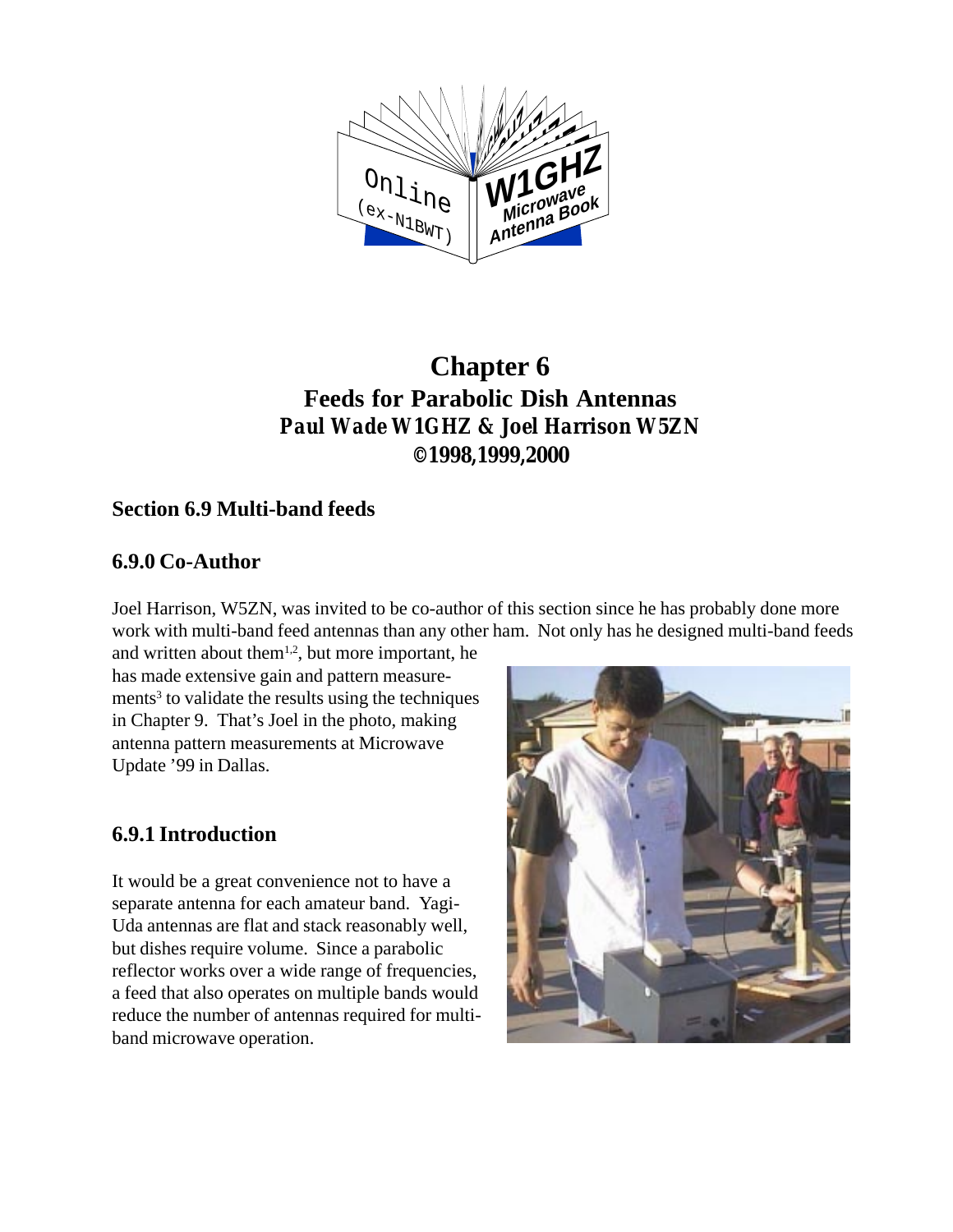

# **Chapter 6 Feeds for Parabolic Dish Antennas** *Paul Wade W1GHZ & Joel Harrison W5ZN ©1998,1999,2000*

#### **Section 6.9 Multi-band feeds**

#### **6.9.0 Co-Author**

Joel Harrison, W5ZN, was invited to be co-author of this section since he has probably done more work with multi-band feed antennas than any other ham. Not only has he designed multi-band feeds

and written about them<sup>1,2</sup>, but more important, he has made extensive gain and pattern measurements<sup>3</sup> to validate the results using the techniques in Chapter 9. That's Joel in the photo, making antenna pattern measurements at Microwave Update '99 in Dallas.

#### **6.9.1 Introduction**

It would be a great convenience not to have a separate antenna for each amateur band. Yagi-Uda antennas are flat and stack reasonably well, but dishes require volume. Since a parabolic reflector works over a wide range of frequencies, a feed that also operates on multiple bands would reduce the number of antennas required for multiband microwave operation.

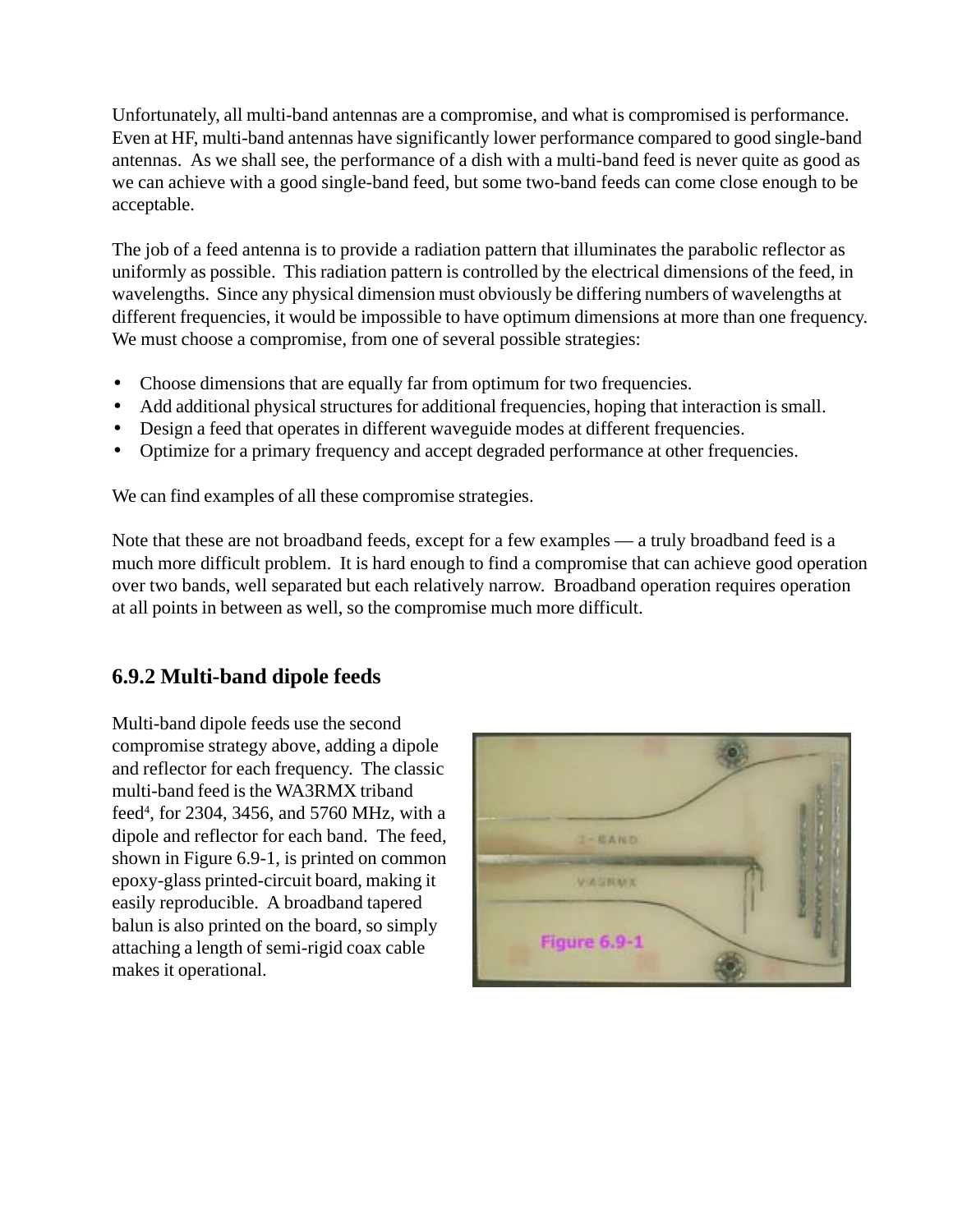Unfortunately, all multi-band antennas are a compromise, and what is compromised is performance. Even at HF, multi-band antennas have significantly lower performance compared to good single-band antennas. As we shall see, the performance of a dish with a multi-band feed is never quite as good as we can achieve with a good single-band feed, but some two-band feeds can come close enough to be acceptable.

The job of a feed antenna is to provide a radiation pattern that illuminates the parabolic reflector as uniformly as possible. This radiation pattern is controlled by the electrical dimensions of the feed, in wavelengths. Since any physical dimension must obviously be differing numbers of wavelengths at different frequencies, it would be impossible to have optimum dimensions at more than one frequency. We must choose a compromise, from one of several possible strategies:

- Choose dimensions that are equally far from optimum for two frequencies.
- Add additional physical structures for additional frequencies, hoping that interaction is small.
- Design a feed that operates in different waveguide modes at different frequencies.
- Optimize for a primary frequency and accept degraded performance at other frequencies.

We can find examples of all these compromise strategies.

Note that these are not broadband feeds, except for a few examples — a truly broadband feed is a much more difficult problem. It is hard enough to find a compromise that can achieve good operation over two bands, well separated but each relatively narrow. Broadband operation requires operation at all points in between as well, so the compromise much more difficult.

#### **6.9.2 Multi-band dipole feeds**

Multi-band dipole feeds use the second compromise strategy above, adding a dipole and reflector for each frequency. The classic multi-band feed is the WA3RMX triband feed4 , for 2304, 3456, and 5760 MHz, with a dipole and reflector for each band. The feed, shown in Figure 6.9-1, is printed on common epoxy-glass printed-circuit board, making it easily reproducible. A broadband tapered balun is also printed on the board, so simply attaching a length of semi-rigid coax cable makes it operational.

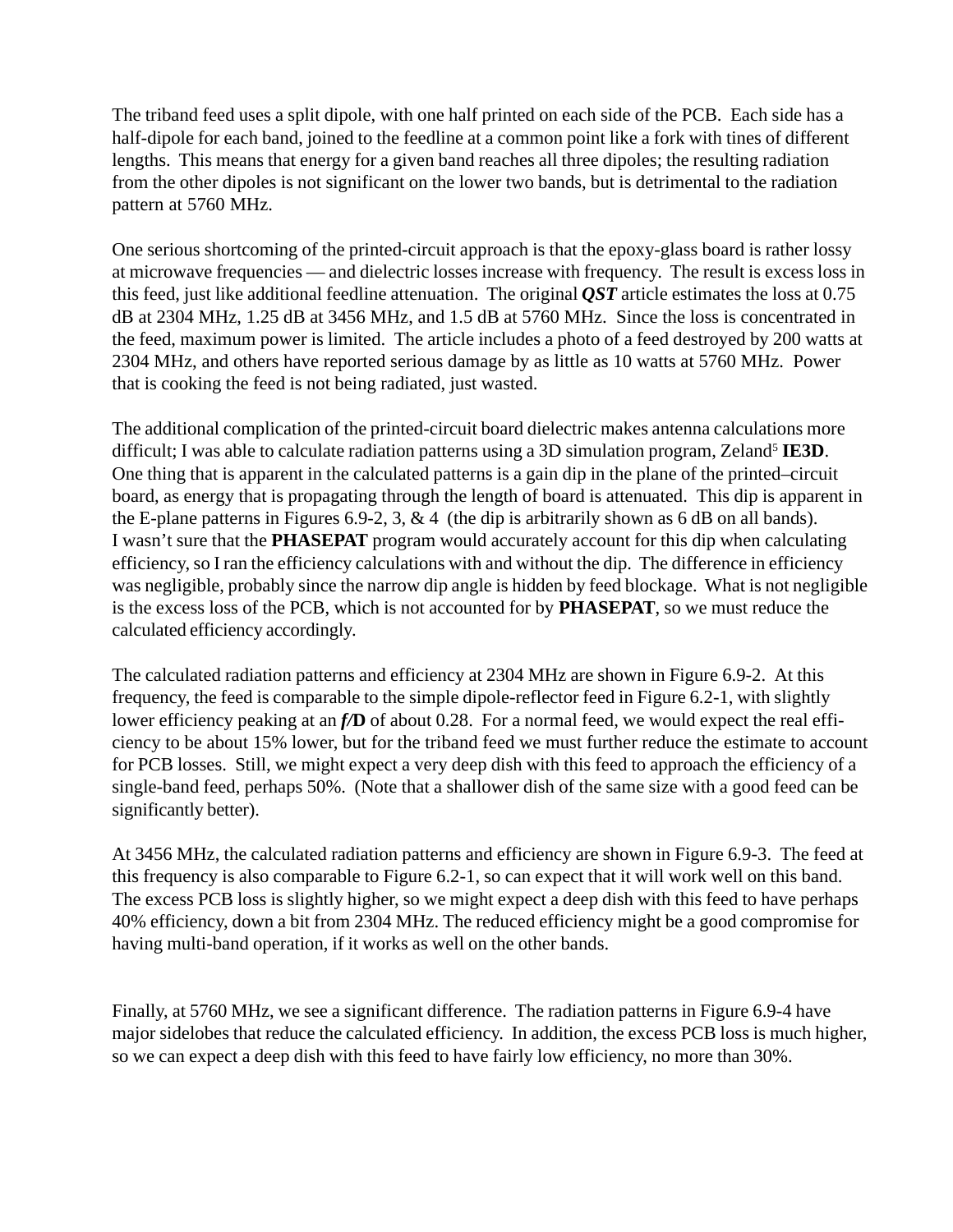The triband feed uses a split dipole, with one half printed on each side of the PCB. Each side has a half-dipole for each band, joined to the feedline at a common point like a fork with tines of different lengths. This means that energy for a given band reaches all three dipoles; the resulting radiation from the other dipoles is not significant on the lower two bands, but is detrimental to the radiation pattern at 5760 MHz.

One serious shortcoming of the printed-circuit approach is that the epoxy-glass board is rather lossy at microwave frequencies — and dielectric losses increase with frequency. The result is excess loss in this feed, just like additional feedline attenuation. The original *QST* article estimates the loss at 0.75 dB at 2304 MHz, 1.25 dB at 3456 MHz, and 1.5 dB at 5760 MHz. Since the loss is concentrated in the feed, maximum power is limited. The article includes a photo of a feed destroyed by 200 watts at 2304 MHz, and others have reported serious damage by as little as 10 watts at 5760 MHz. Power that is cooking the feed is not being radiated, just wasted.

The additional complication of the printed-circuit board dielectric makes antenna calculations more difficult; I was able to calculate radiation patterns using a 3D simulation program, Zeland<sup>5</sup> IE3D. One thing that is apparent in the calculated patterns is a gain dip in the plane of the printed–circuit board, as energy that is propagating through the length of board is attenuated. This dip is apparent in the E-plane patterns in Figures 6.9-2, 3, & 4 (the dip is arbitrarily shown as 6 dB on all bands). I wasn't sure that the **PHASEPAT** program would accurately account for this dip when calculating efficiency, so I ran the efficiency calculations with and without the dip. The difference in efficiency was negligible, probably since the narrow dip angle is hidden by feed blockage. What is not negligible is the excess loss of the PCB, which is not accounted for by **PHASEPAT**, so we must reduce the calculated efficiency accordingly.

The calculated radiation patterns and efficiency at 2304 MHz are shown in Figure 6.9-2. At this frequency, the feed is comparable to the simple dipole-reflector feed in Figure 6.2-1, with slightly lower efficiency peaking at an *f/***D** of about 0.28. For a normal feed, we would expect the real efficiency to be about 15% lower, but for the triband feed we must further reduce the estimate to account for PCB losses. Still, we might expect a very deep dish with this feed to approach the efficiency of a single-band feed, perhaps 50%. (Note that a shallower dish of the same size with a good feed can be significantly better).

At 3456 MHz, the calculated radiation patterns and efficiency are shown in Figure 6.9-3. The feed at this frequency is also comparable to Figure 6.2-1, so can expect that it will work well on this band. The excess PCB loss is slightly higher, so we might expect a deep dish with this feed to have perhaps 40% efficiency, down a bit from 2304 MHz. The reduced efficiency might be a good compromise for having multi-band operation, if it works as well on the other bands.

Finally, at 5760 MHz, we see a significant difference. The radiation patterns in Figure 6.9-4 have major sidelobes that reduce the calculated efficiency. In addition, the excess PCB loss is much higher, so we can expect a deep dish with this feed to have fairly low efficiency, no more than 30%.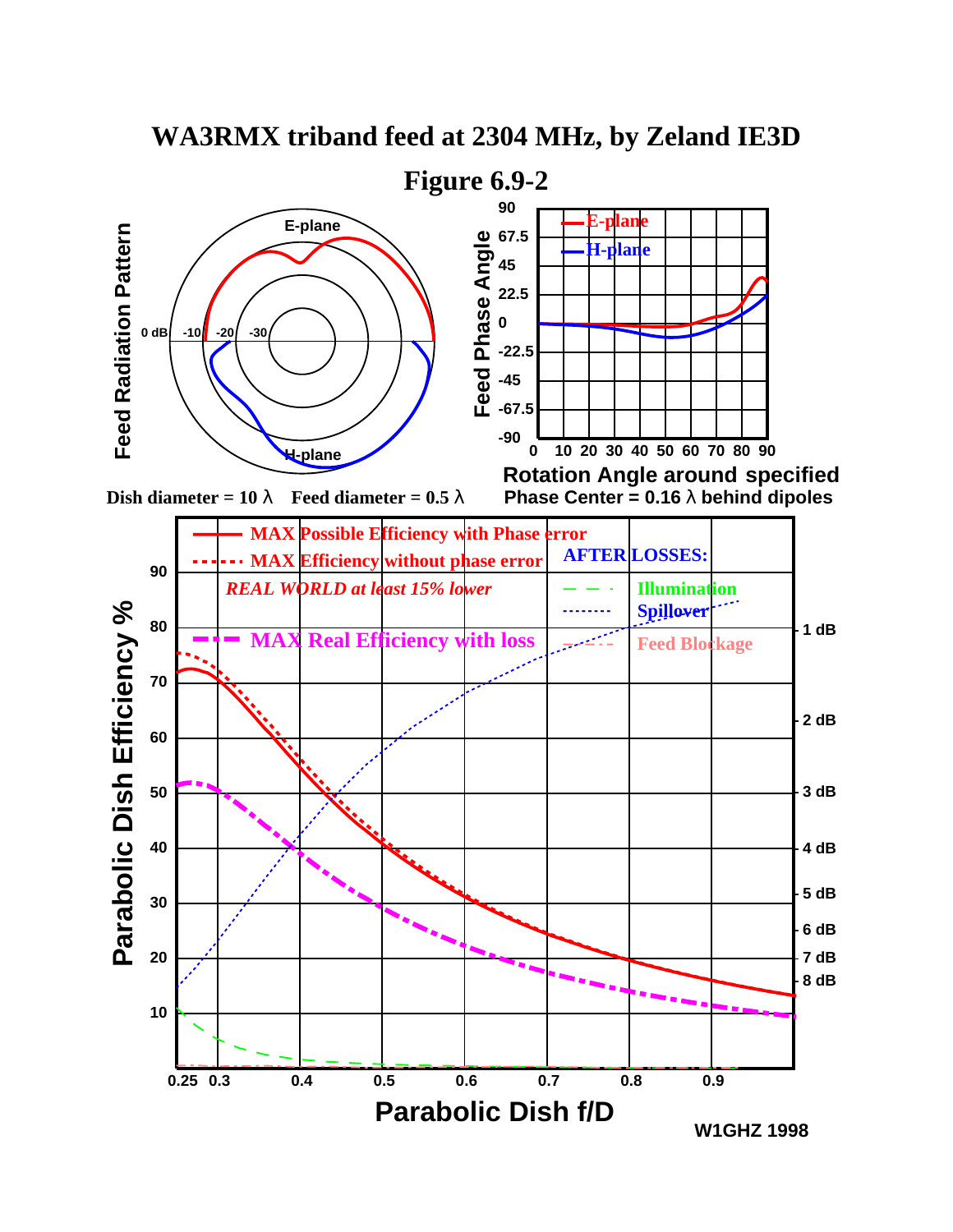

## **WA3RMX triband feed at 2304 MHz, by Zeland IE3D**

**W1GHZ 1998**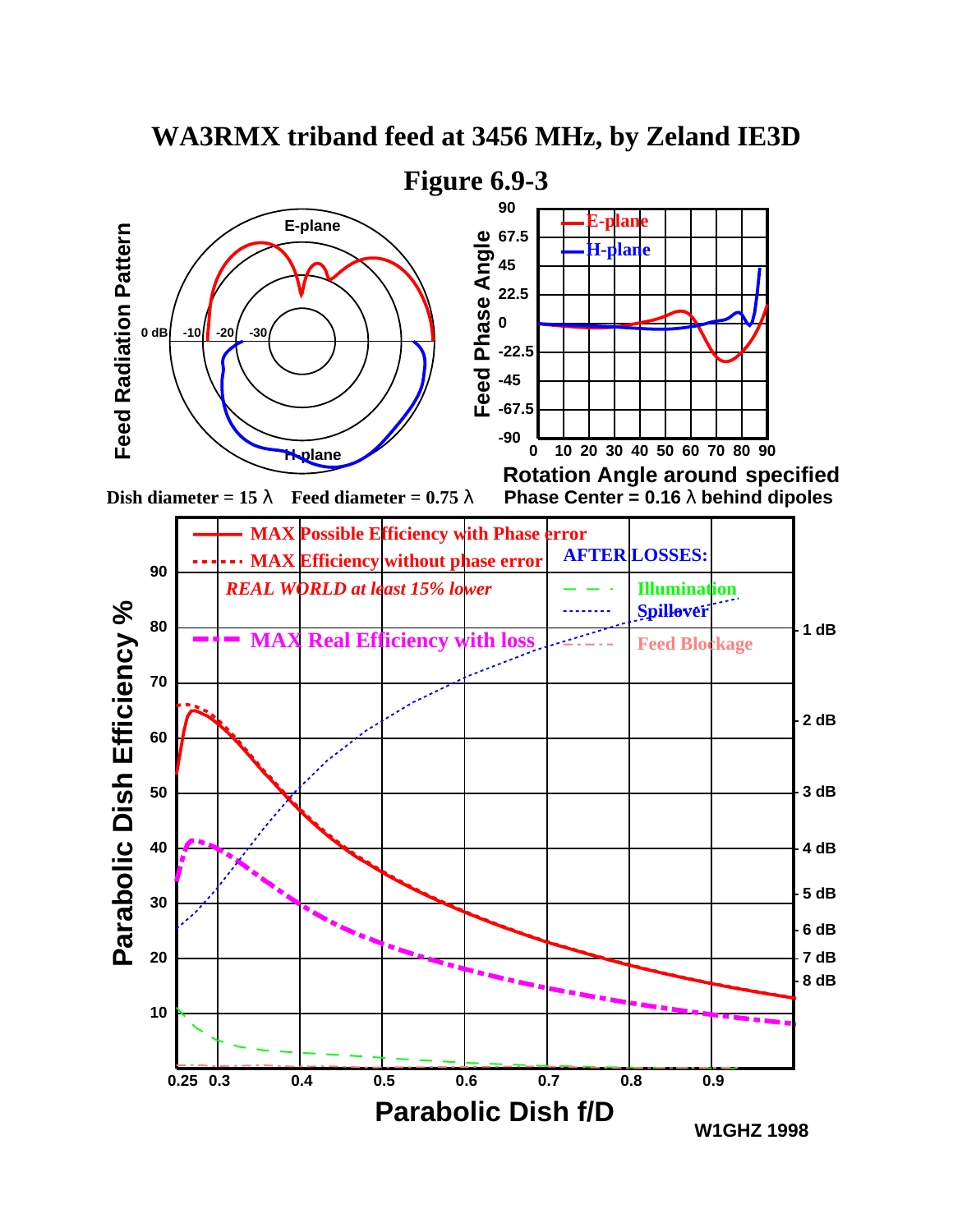

## **WA3RMX triband feed at 3456 MHz, by Zeland IE3D**

**W1GHZ 1998**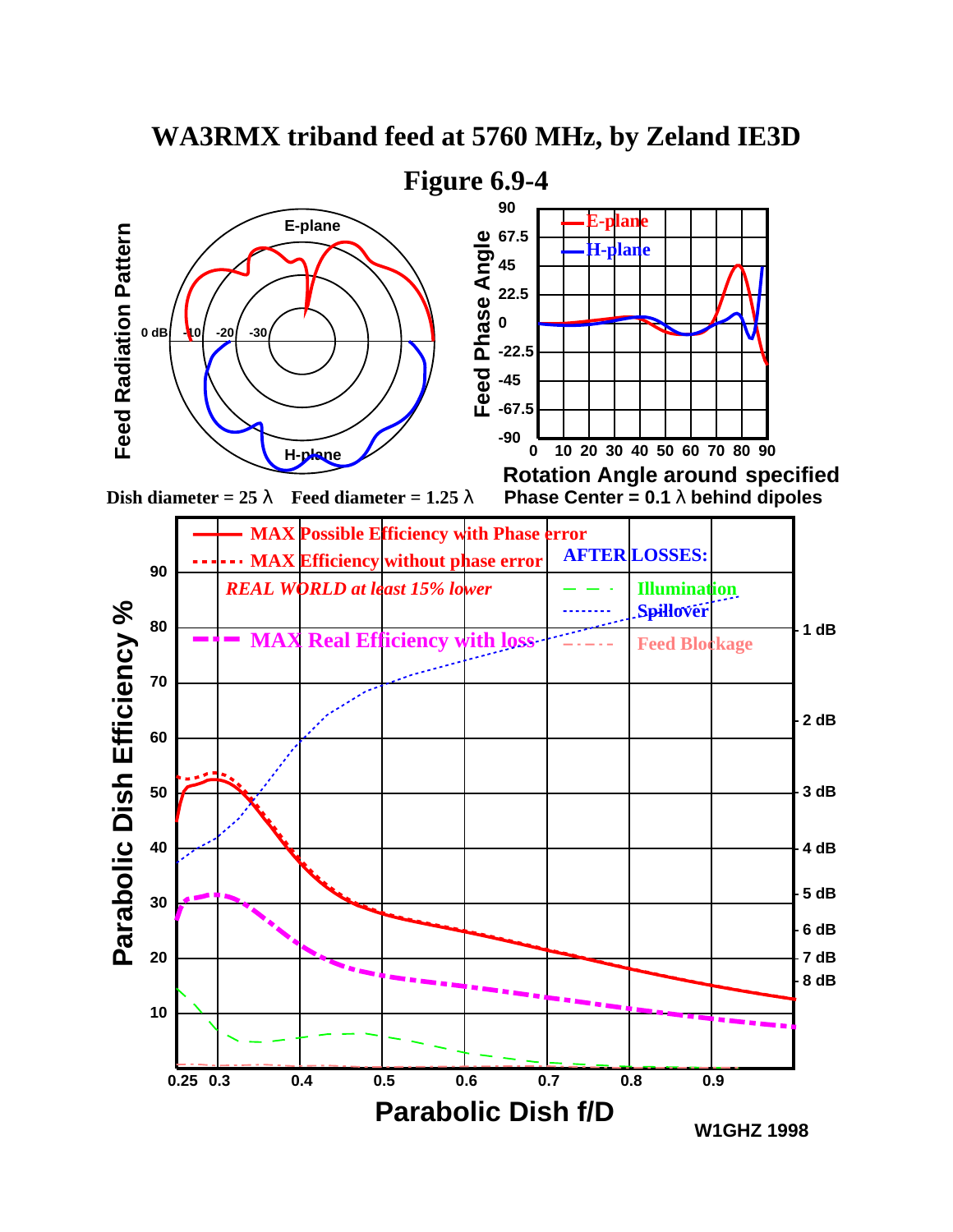

## **WA3RMX triband feed at 5760 MHz, by Zeland IE3D**

**W1GHZ 1998**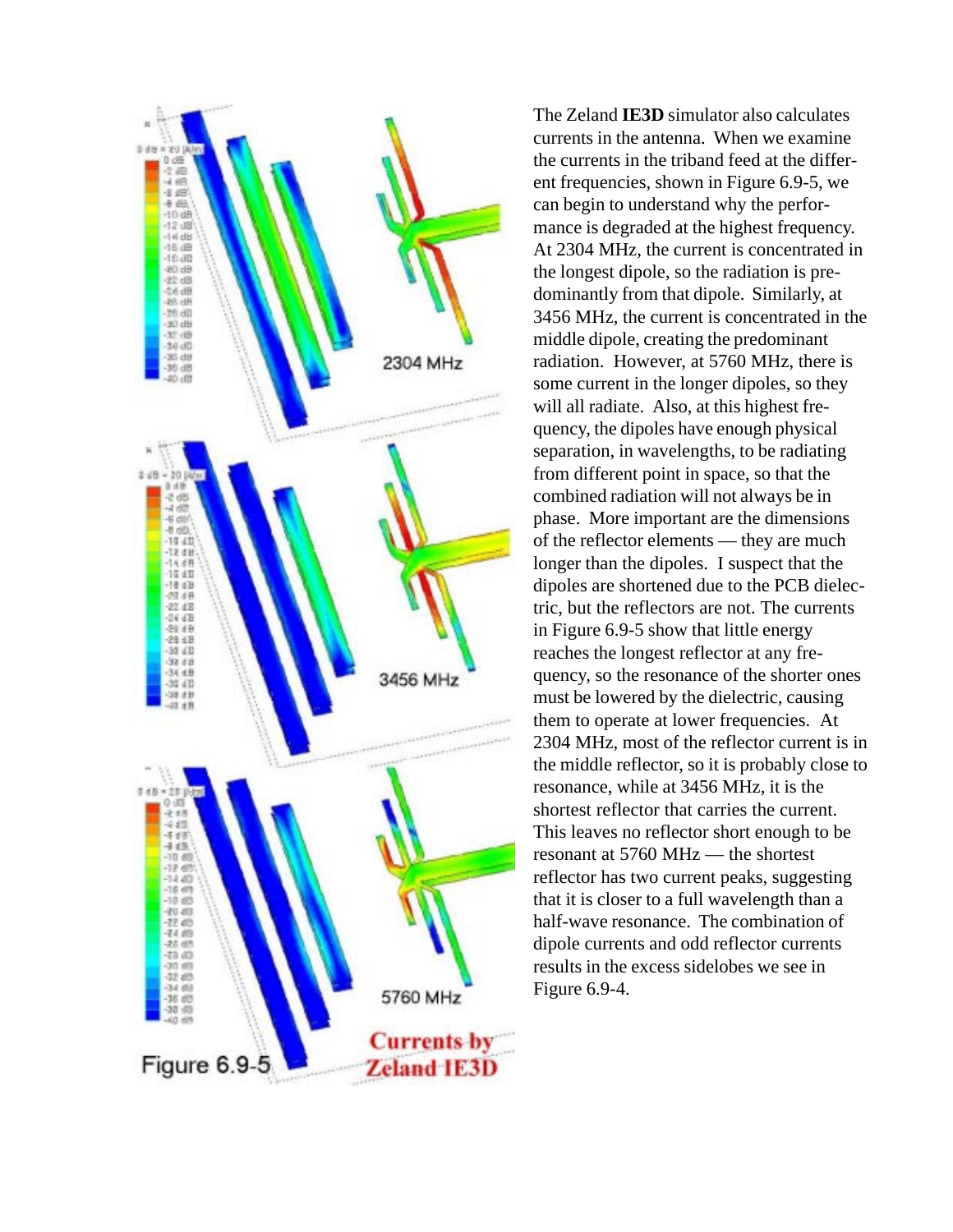

The Zeland **IE3D** simulator also calculates currents in the antenna. When we examine the currents in the triband feed at the different frequencies, shown in Figure 6.9-5, we can begin to understand why the performance is degraded at the highest frequency. At 2304 MHz, the current is concentrated in the longest dipole, so the radiation is predominantly from that dipole. Similarly, at 3456 MHz, the current is concentrated in the middle dipole, creating the predominant radiation. However, at 5760 MHz, there is some current in the longer dipoles, so they will all radiate. Also, at this highest frequency, the dipoles have enough physical separation, in wavelengths, to be radiating from different point in space, so that the combined radiation will not always be in phase. More important are the dimensions of the reflector elements — they are much longer than the dipoles. I suspect that the dipoles are shortened due to the PCB dielectric, but the reflectors are not. The currents in Figure 6.9-5 show that little energy reaches the longest reflector at any frequency, so the resonance of the shorter ones must be lowered by the dielectric, causing them to operate at lower frequencies. At 2304 MHz, most of the reflector current is in the middle reflector, so it is probably close to resonance, while at 3456 MHz, it is the shortest reflector that carries the current. This leaves no reflector short enough to be resonant at 5760 MHz — the shortest reflector has two current peaks, suggesting that it is closer to a full wavelength than a half-wave resonance. The combination of dipole currents and odd reflector currents results in the excess sidelobes we see in Figure 6.9-4.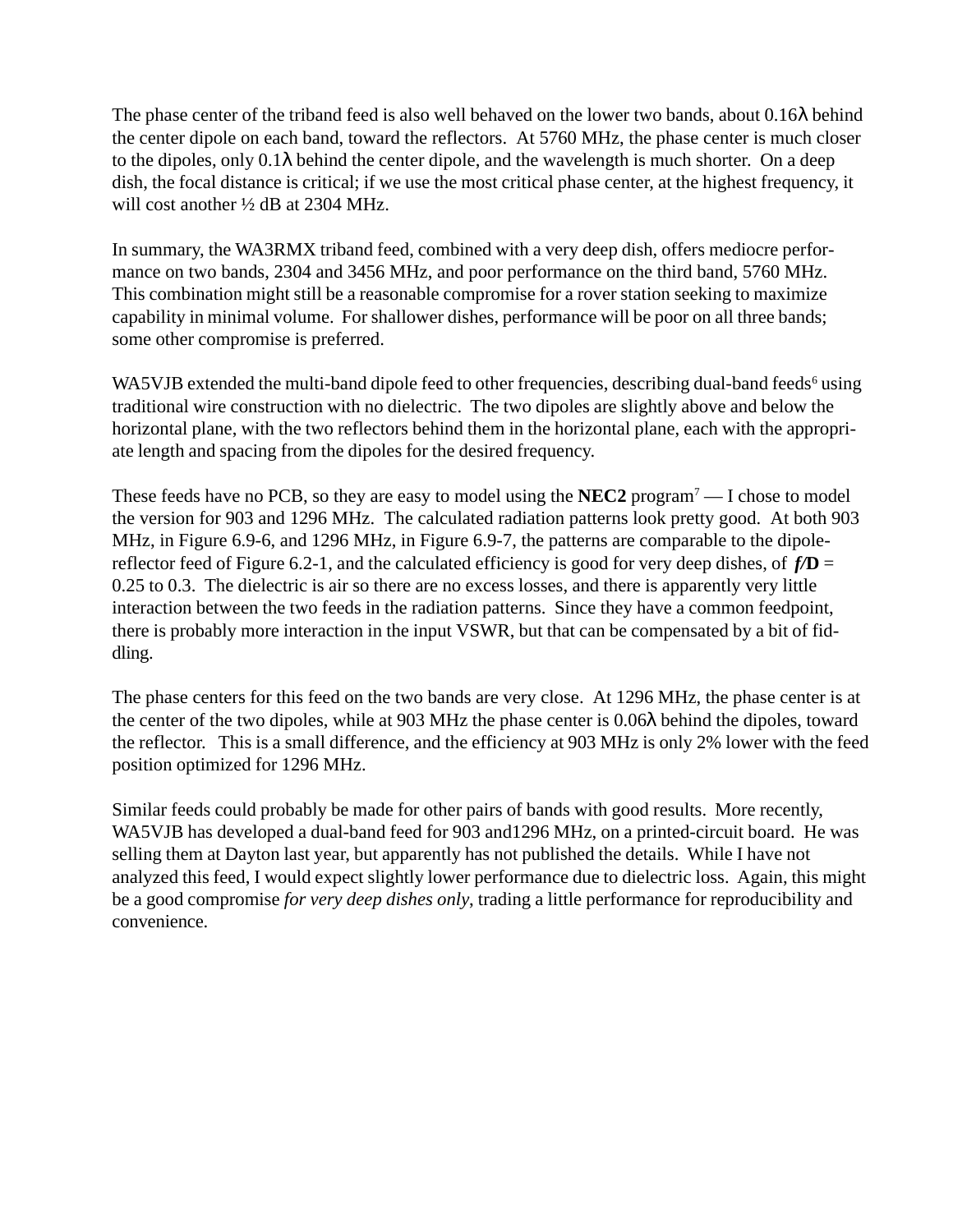The phase center of the triband feed is also well behaved on the lower two bands, about 0.16λ behind the center dipole on each band, toward the reflectors. At 5760 MHz, the phase center is much closer to the dipoles, only  $0.1\lambda$  behind the center dipole, and the wavelength is much shorter. On a deep dish, the focal distance is critical; if we use the most critical phase center, at the highest frequency, it will cost another  $\frac{1}{2}$  dB at 2304 MHz.

In summary, the WA3RMX triband feed, combined with a very deep dish, offers mediocre performance on two bands, 2304 and 3456 MHz, and poor performance on the third band, 5760 MHz. This combination might still be a reasonable compromise for a rover station seeking to maximize capability in minimal volume. For shallower dishes, performance will be poor on all three bands; some other compromise is preferred.

WA5VJB extended the multi-band dipole feed to other frequencies, describing dual-band feeds<sup>6</sup> using traditional wire construction with no dielectric. The two dipoles are slightly above and below the horizontal plane, with the two reflectors behind them in the horizontal plane, each with the appropriate length and spacing from the dipoles for the desired frequency.

These feeds have no PCB, so they are easy to model using the  $NEC2$  program<sup>7</sup> — I chose to model the version for 903 and 1296 MHz. The calculated radiation patterns look pretty good. At both 903 MHz, in Figure 6.9-6, and 1296 MHz, in Figure 6.9-7, the patterns are comparable to the dipolereflector feed of Figure 6.2-1, and the calculated efficiency is good for very deep dishes, of  $f/D =$ 0.25 to 0.3. The dielectric is air so there are no excess losses, and there is apparently very little interaction between the two feeds in the radiation patterns. Since they have a common feedpoint, there is probably more interaction in the input VSWR, but that can be compensated by a bit of fiddling.

The phase centers for this feed on the two bands are very close. At 1296 MHz, the phase center is at the center of the two dipoles, while at 903 MHz the phase center is 0.06λ behind the dipoles, toward the reflector. This is a small difference, and the efficiency at 903 MHz is only 2% lower with the feed position optimized for 1296 MHz.

Similar feeds could probably be made for other pairs of bands with good results. More recently, WA5VJB has developed a dual-band feed for 903 and 1296 MHz, on a printed-circuit board. He was selling them at Dayton last year, but apparently has not published the details. While I have not analyzed this feed, I would expect slightly lower performance due to dielectric loss. Again, this might be a good compromise *for very deep dishes only*, trading a little performance for reproducibility and convenience.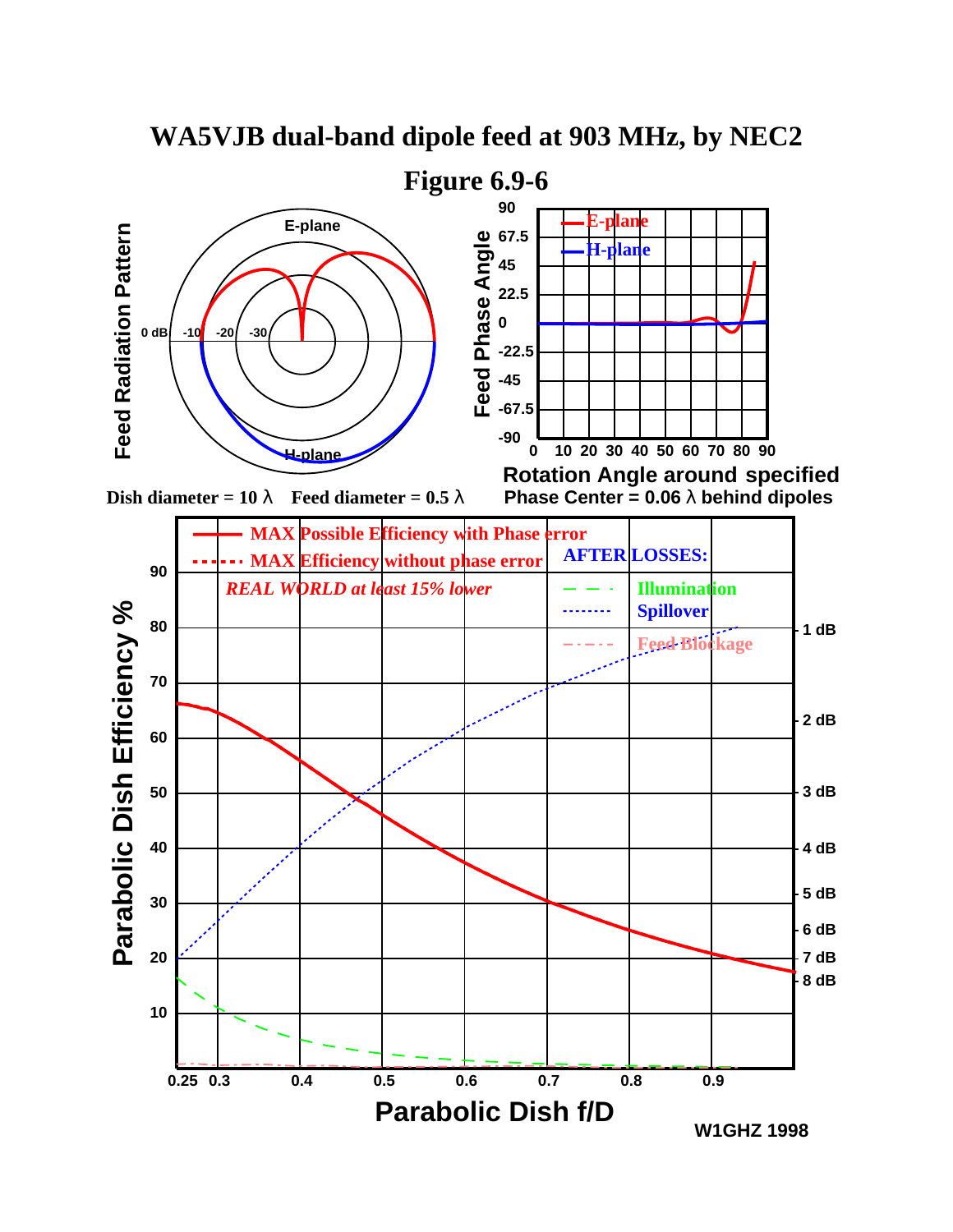

**WA5VJB dual-band dipole feed at 903 MHz, by NEC2**

**W1GHZ 1998**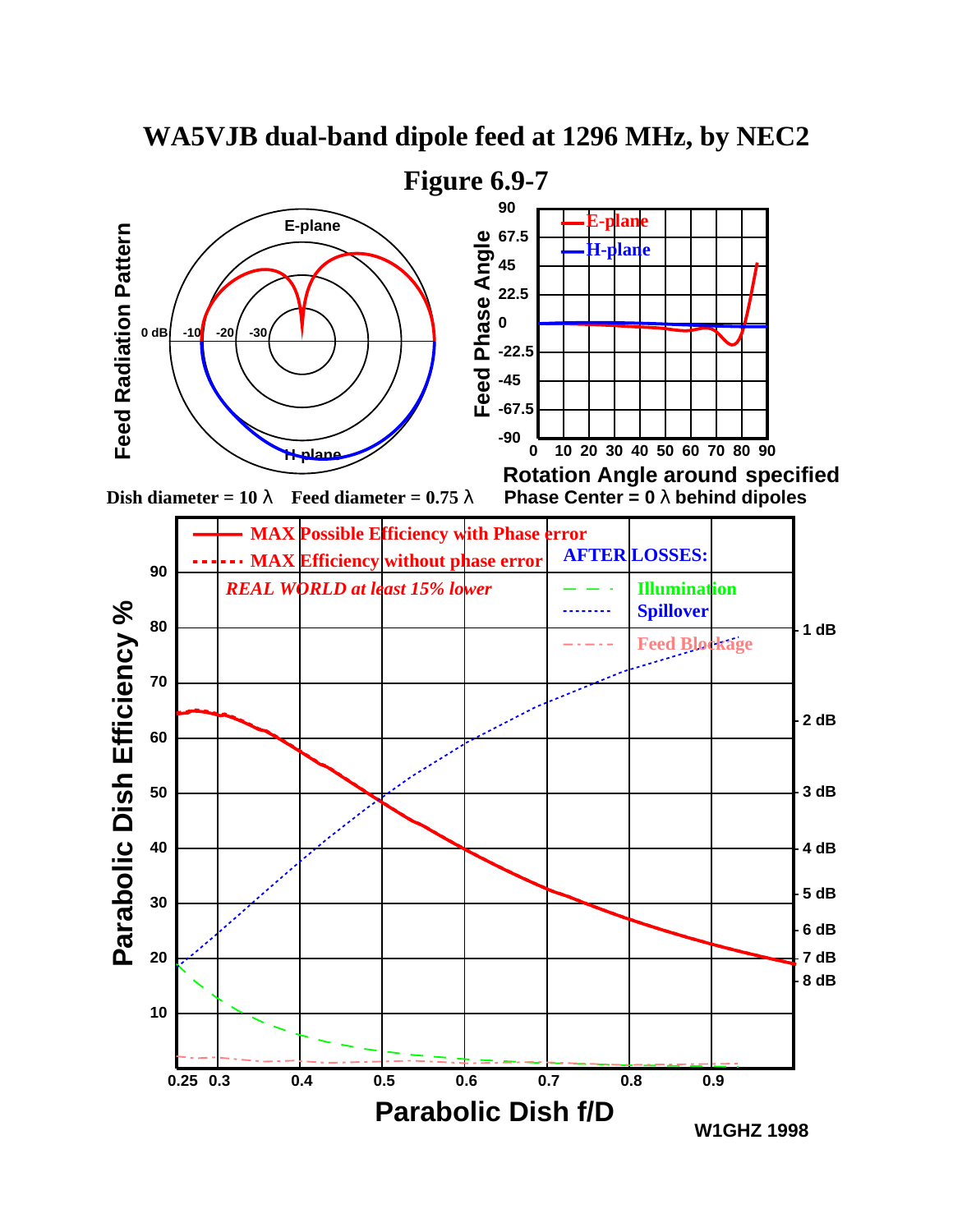

**WA5VJB dual-band dipole feed at 1296 MHz, by NEC2**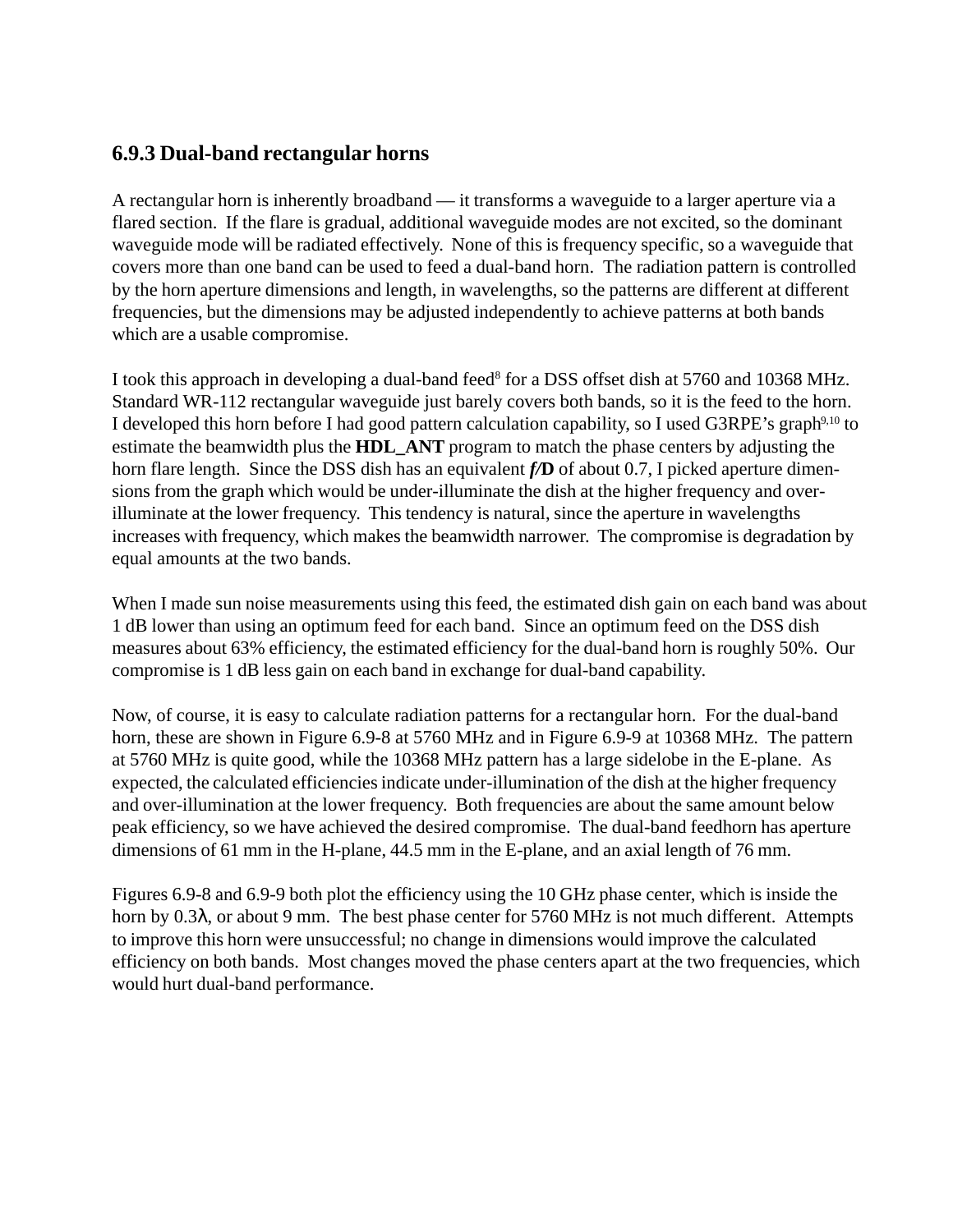#### **6.9.3 Dual-band rectangular horns**

A rectangular horn is inherently broadband — it transforms a waveguide to a larger aperture via a flared section. If the flare is gradual, additional waveguide modes are not excited, so the dominant waveguide mode will be radiated effectively. None of this is frequency specific, so a waveguide that covers more than one band can be used to feed a dual-band horn. The radiation pattern is controlled by the horn aperture dimensions and length, in wavelengths, so the patterns are different at different frequencies, but the dimensions may be adjusted independently to achieve patterns at both bands which are a usable compromise.

I took this approach in developing a dual-band feed<sup>8</sup> for a DSS offset dish at 5760 and 10368 MHz. Standard WR-112 rectangular waveguide just barely covers both bands, so it is the feed to the horn. I developed this horn before I had good pattern calculation capability, so I used G3RPE's graph<sup>9,10</sup> to estimate the beamwidth plus the **HDL\_ANT** program to match the phase centers by adjusting the horn flare length. Since the DSS dish has an equivalent *f/***D** of about 0.7, I picked aperture dimensions from the graph which would be under-illuminate the dish at the higher frequency and overilluminate at the lower frequency. This tendency is natural, since the aperture in wavelengths increases with frequency, which makes the beamwidth narrower. The compromise is degradation by equal amounts at the two bands.

When I made sun noise measurements using this feed, the estimated dish gain on each band was about 1 dB lower than using an optimum feed for each band. Since an optimum feed on the DSS dish measures about 63% efficiency, the estimated efficiency for the dual-band horn is roughly 50%. Our compromise is 1 dB less gain on each band in exchange for dual-band capability.

Now, of course, it is easy to calculate radiation patterns for a rectangular horn. For the dual-band horn, these are shown in Figure 6.9-8 at 5760 MHz and in Figure 6.9-9 at 10368 MHz. The pattern at 5760 MHz is quite good, while the 10368 MHz pattern has a large sidelobe in the E-plane. As expected, the calculated efficiencies indicate under-illumination of the dish at the higher frequency and over-illumination at the lower frequency. Both frequencies are about the same amount below peak efficiency, so we have achieved the desired compromise. The dual-band feedhorn has aperture dimensions of 61 mm in the H-plane, 44.5 mm in the E-plane, and an axial length of 76 mm.

Figures 6.9-8 and 6.9-9 both plot the efficiency using the 10 GHz phase center, which is inside the horn by 0.3λ, or about 9 mm. The best phase center for 5760 MHz is not much different. Attempts to improve this horn were unsuccessful; no change in dimensions would improve the calculated efficiency on both bands. Most changes moved the phase centers apart at the two frequencies, which would hurt dual-band performance.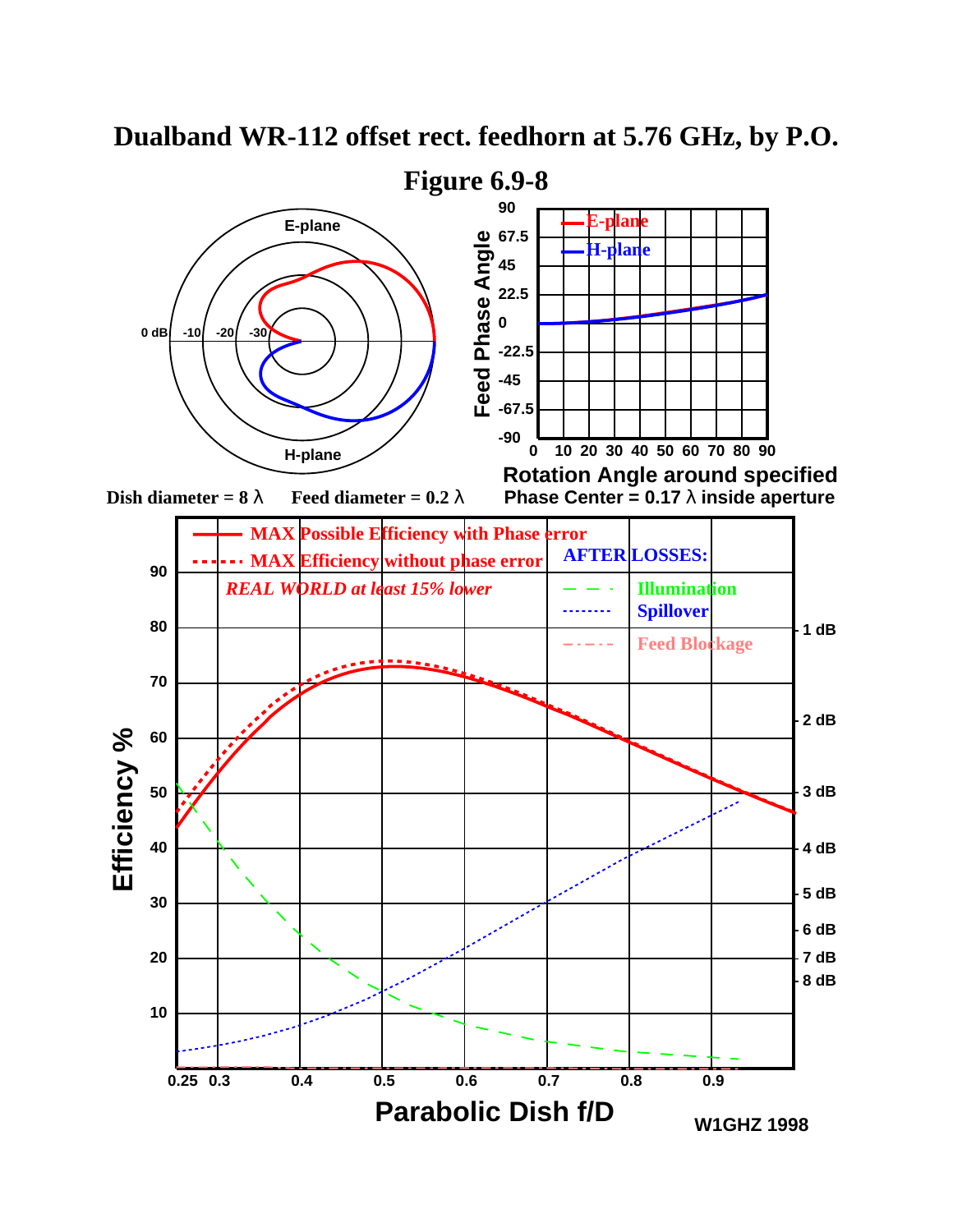

# **Dualband WR-112 offset rect. feedhorn at 5.76 GHz, by P.O.**

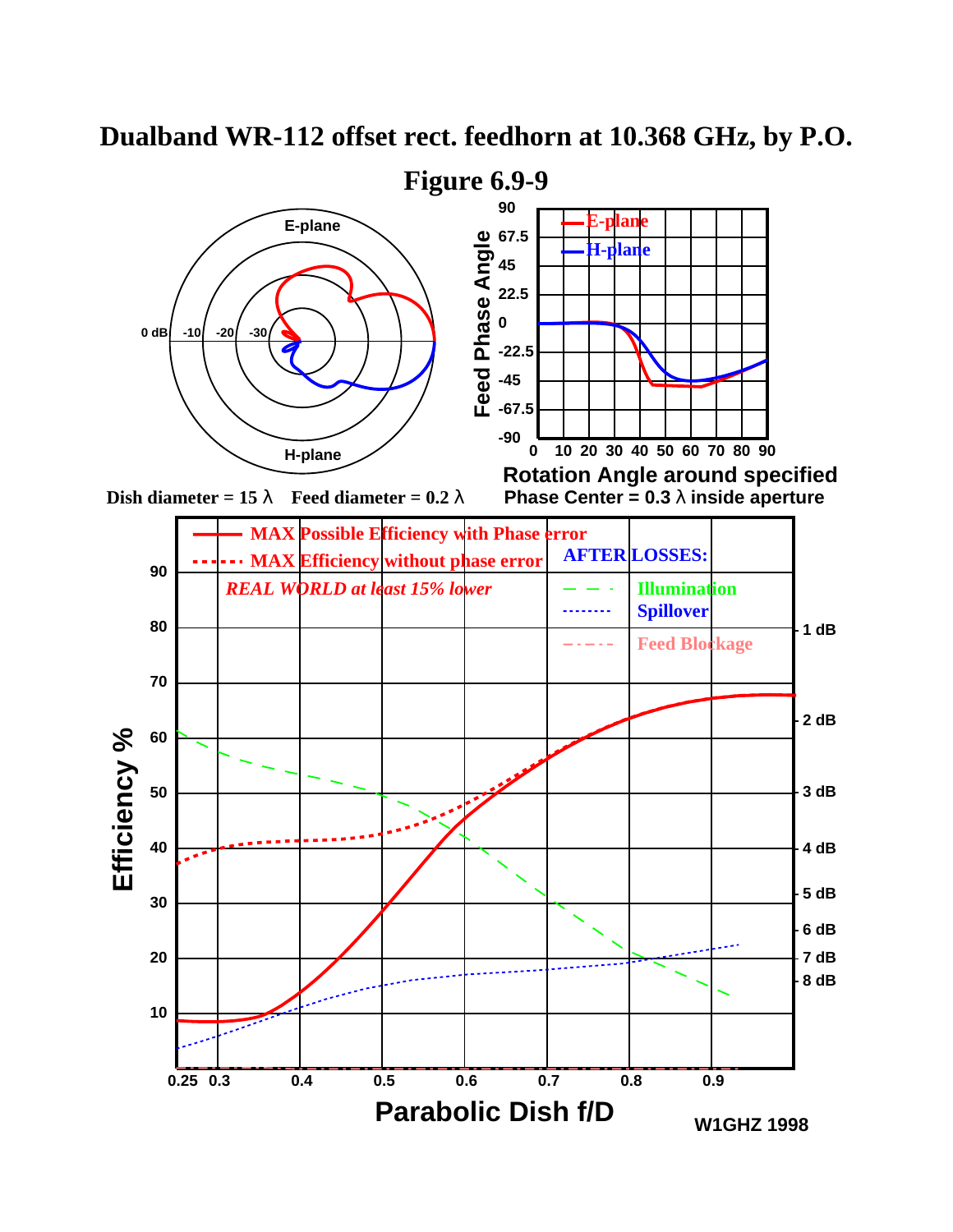# **Dualband WR-112 offset rect. feedhorn at 10.368 GHz, by P.O.**

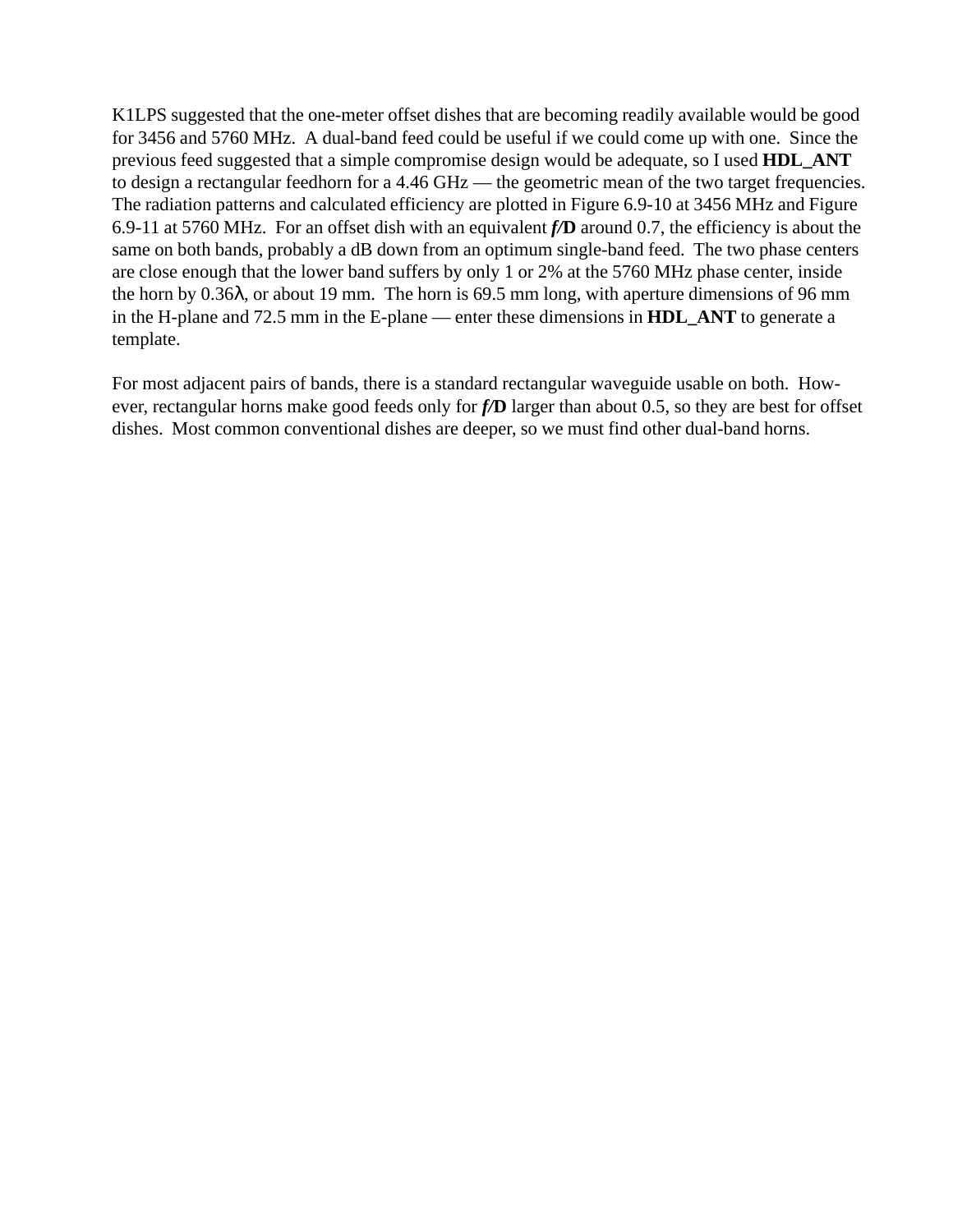K1LPS suggested that the one-meter offset dishes that are becoming readily available would be good for 3456 and 5760 MHz. A dual-band feed could be useful if we could come up with one. Since the previous feed suggested that a simple compromise design would be adequate, so I used **HDL\_ANT** to design a rectangular feedhorn for a 4.46 GHz — the geometric mean of the two target frequencies. The radiation patterns and calculated efficiency are plotted in Figure 6.9-10 at 3456 MHz and Figure 6.9-11 at 5760 MHz. For an offset dish with an equivalent *f/***D** around 0.7, the efficiency is about the same on both bands, probably a dB down from an optimum single-band feed. The two phase centers are close enough that the lower band suffers by only 1 or 2% at the 5760 MHz phase center, inside the horn by 0.36λ, or about 19 mm. The horn is 69.5 mm long, with aperture dimensions of 96 mm in the H-plane and 72.5 mm in the E-plane — enter these dimensions in **HDL\_ANT** to generate a template.

For most adjacent pairs of bands, there is a standard rectangular waveguide usable on both. However, rectangular horns make good feeds only for *f/***D** larger than about 0.5, so they are best for offset dishes. Most common conventional dishes are deeper, so we must find other dual-band horns.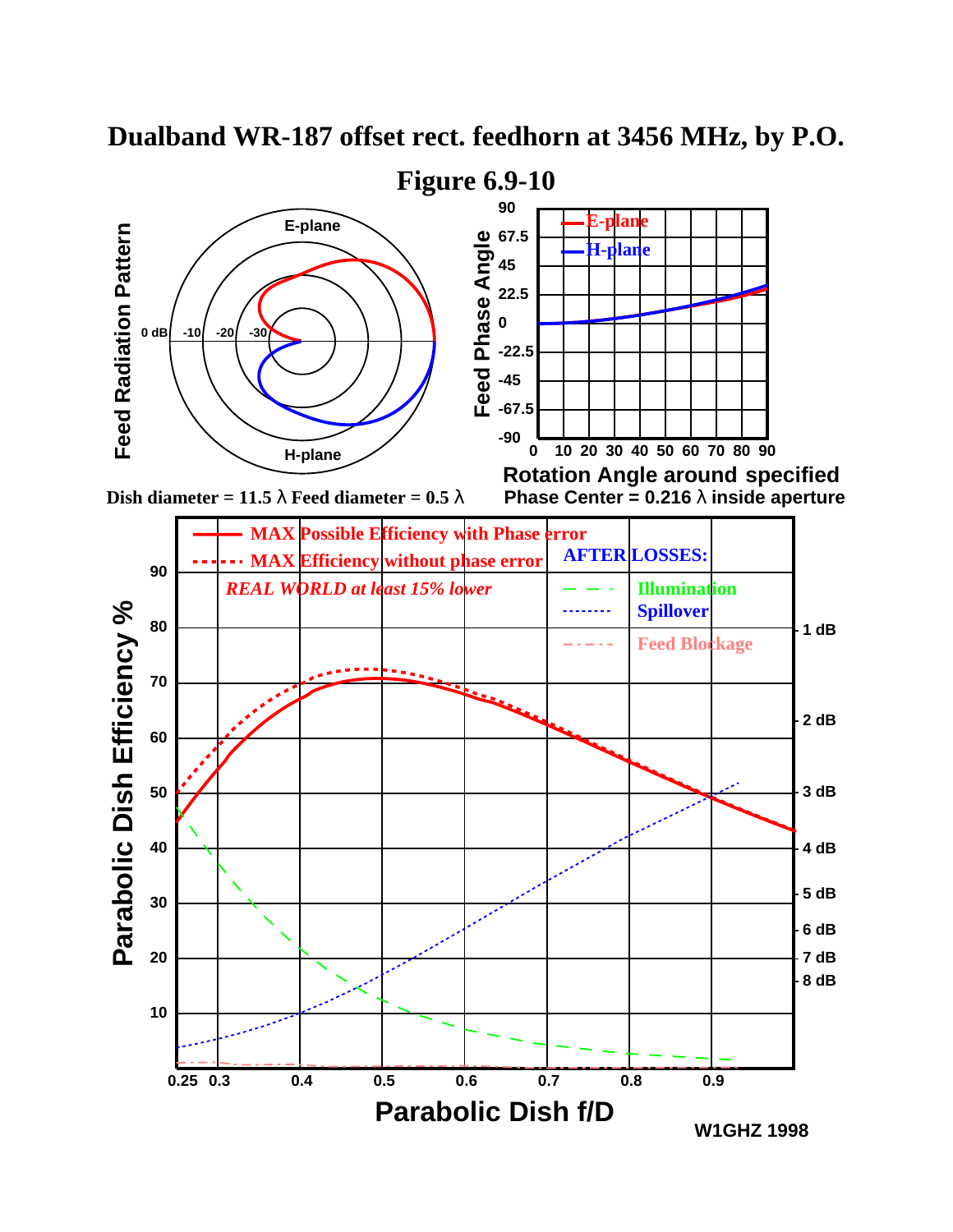

**Dualband WR-187 offset rect. feedhorn at 3456 MHz, by P.O.**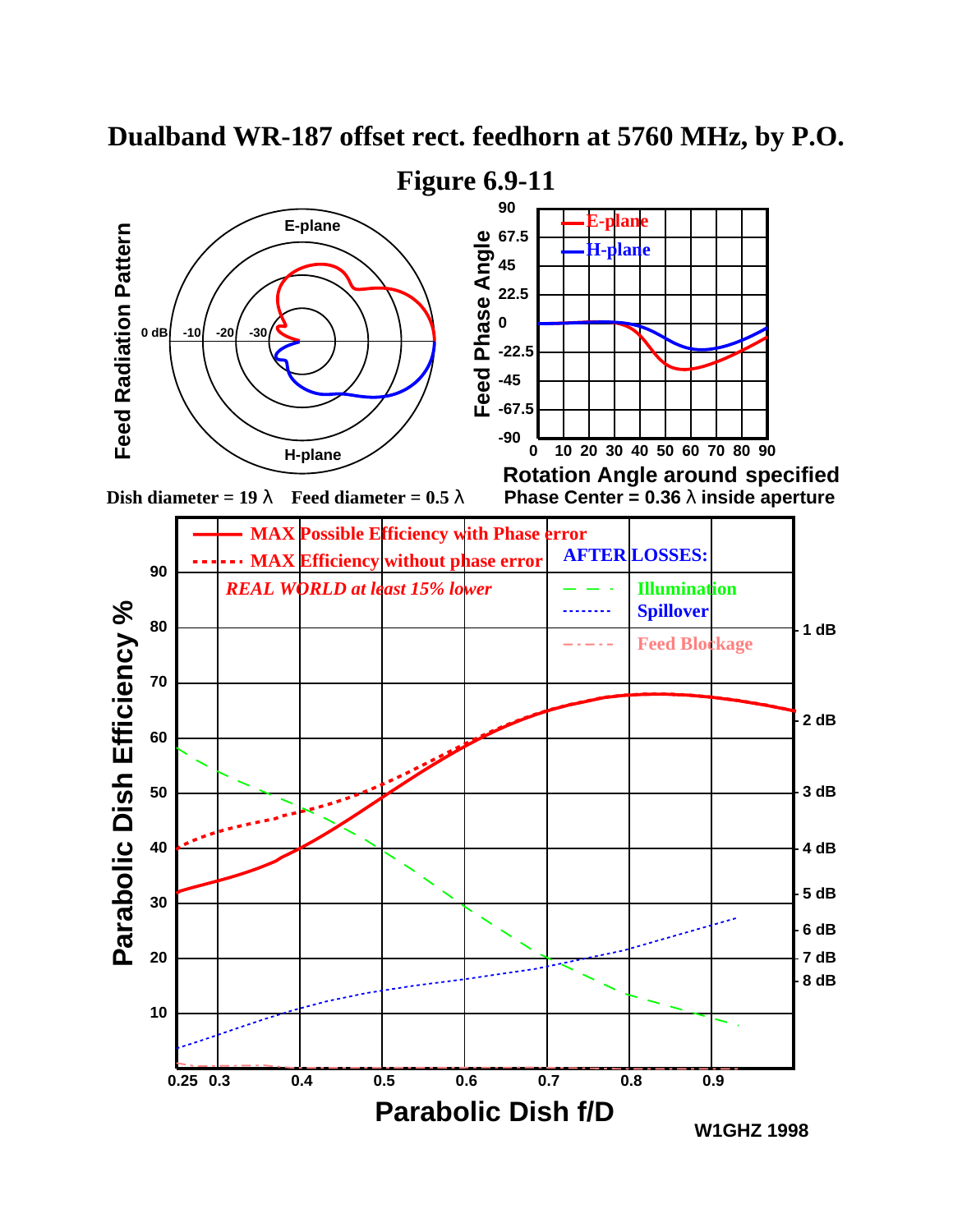

**Dualband WR-187 offset rect. feedhorn at 5760 MHz, by P.O.**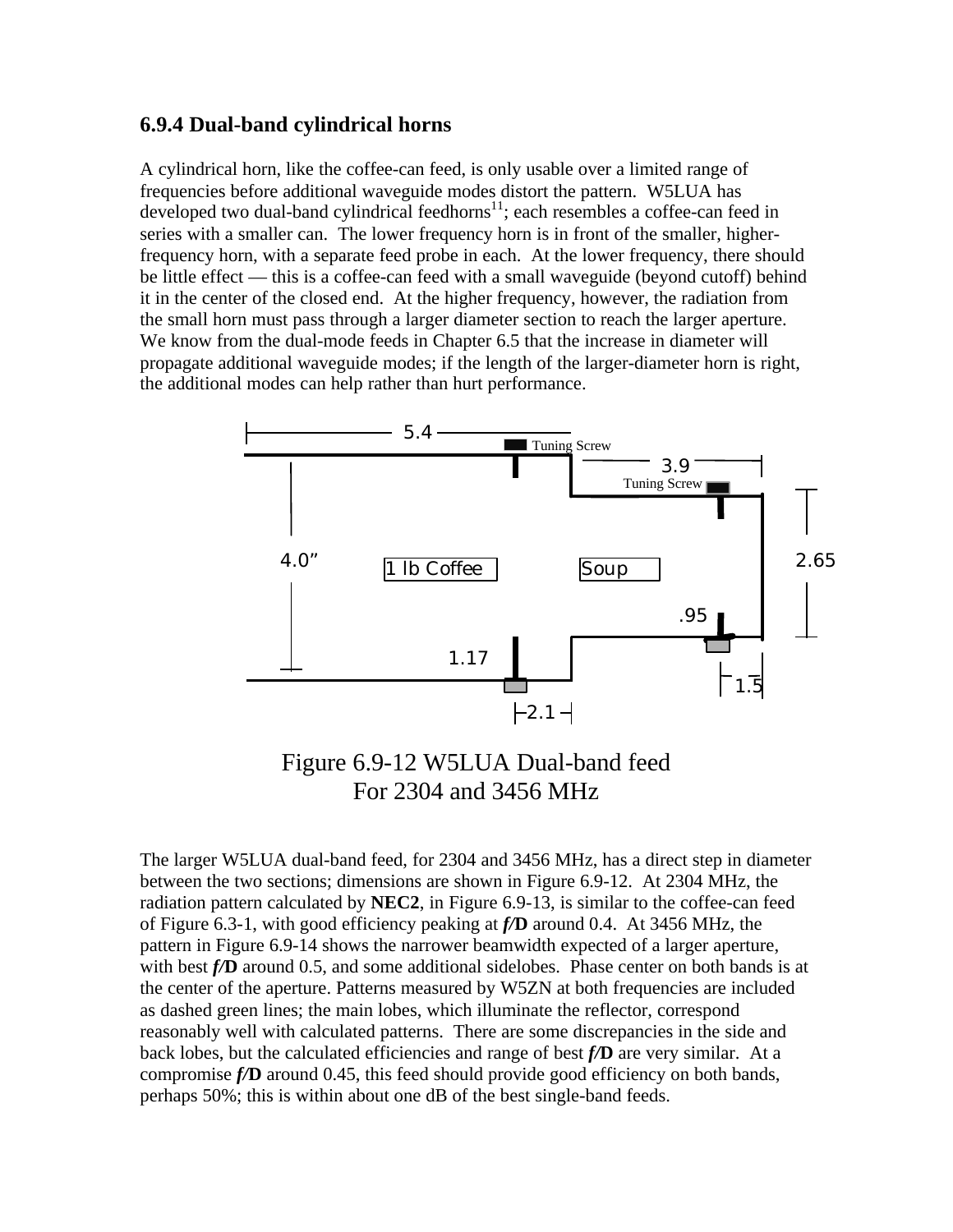#### **6.9.4 Dual-band cylindrical horns**

A cylindrical horn, like the coffee-can feed, is only usable over a limited range of frequencies before additional waveguide modes distort the pattern. W5LUA has developed two dual-band cylindrical feedhorns $11$ ; each resembles a coffee-can feed in series with a smaller can. The lower frequency horn is in front of the smaller, higherfrequency horn, with a separate feed probe in each. At the lower frequency, there should be little effect — this is a coffee-can feed with a small waveguide (beyond cutoff) behind it in the center of the closed end. At the higher frequency, however, the radiation from the small horn must pass through a larger diameter section to reach the larger aperture. We know from the dual-mode feeds in Chapter 6.5 that the increase in diameter will propagate additional waveguide modes; if the length of the larger-diameter horn is right, the additional modes can help rather than hurt performance.



Figure 6.9-12 W5LUA Dual-band feed For 2304 and 3456 MHz

The larger W5LUA dual-band feed, for 2304 and 3456 MHz, has a direct step in diameter between the two sections; dimensions are shown in Figure 6.9-12. At 2304 MHz, the radiation pattern calculated by **NEC2**, in Figure 6.9-13, is similar to the coffee-can feed of Figure 6.3-1, with good efficiency peaking at *f/***D** around 0.4. At 3456 MHz, the pattern in Figure 6.9-14 shows the narrower beamwidth expected of a larger aperture, with best  $f/D$  around 0.5, and some additional sidelobes. Phase center on both bands is at the center of the aperture. Patterns measured by W5ZN at both frequencies are included as dashed green lines; the main lobes, which illuminate the reflector, correspond reasonably well with calculated patterns. There are some discrepancies in the side and back lobes, but the calculated efficiencies and range of best *f/***D** are very similar.At a compromise *f/***D** around 0.45, this feed should provide good efficiency on both bands, perhaps 50%; this is within about one dB of the best single-band feeds.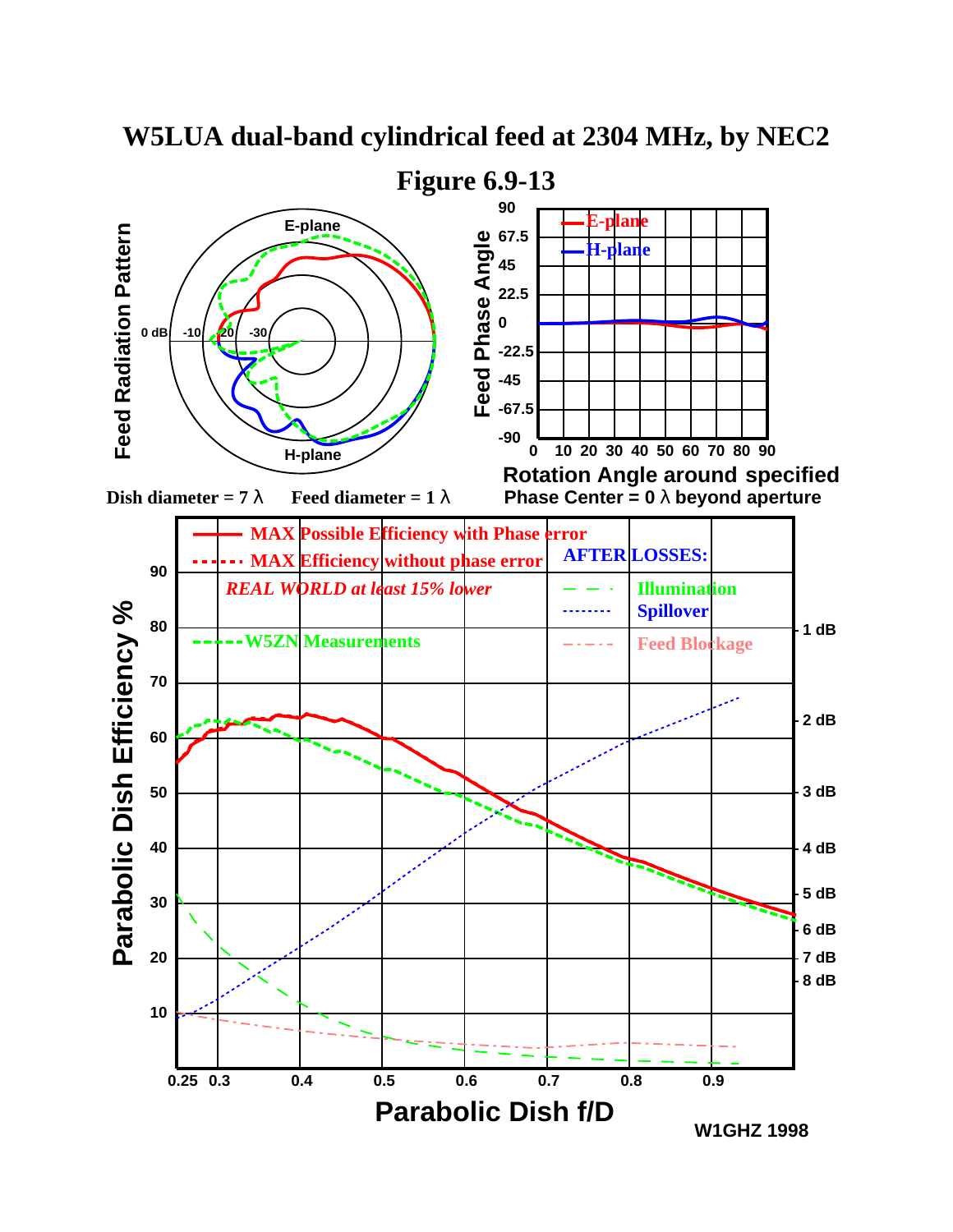

## **W5LUA dual-band cylindrical feed at 2304 MHz, by NEC2**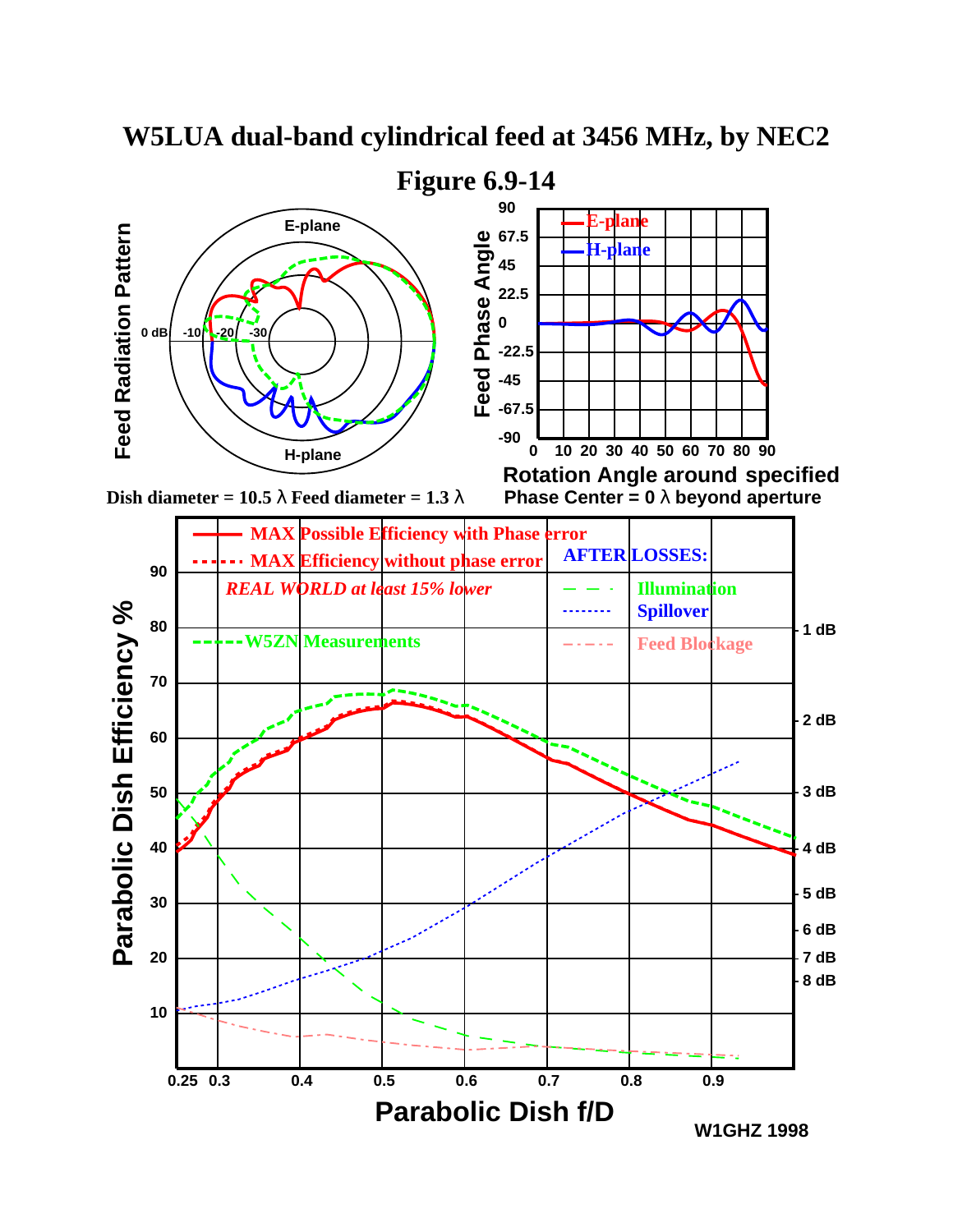

**W5LUA dual-band cylindrical feed at 3456 MHz, by NEC2**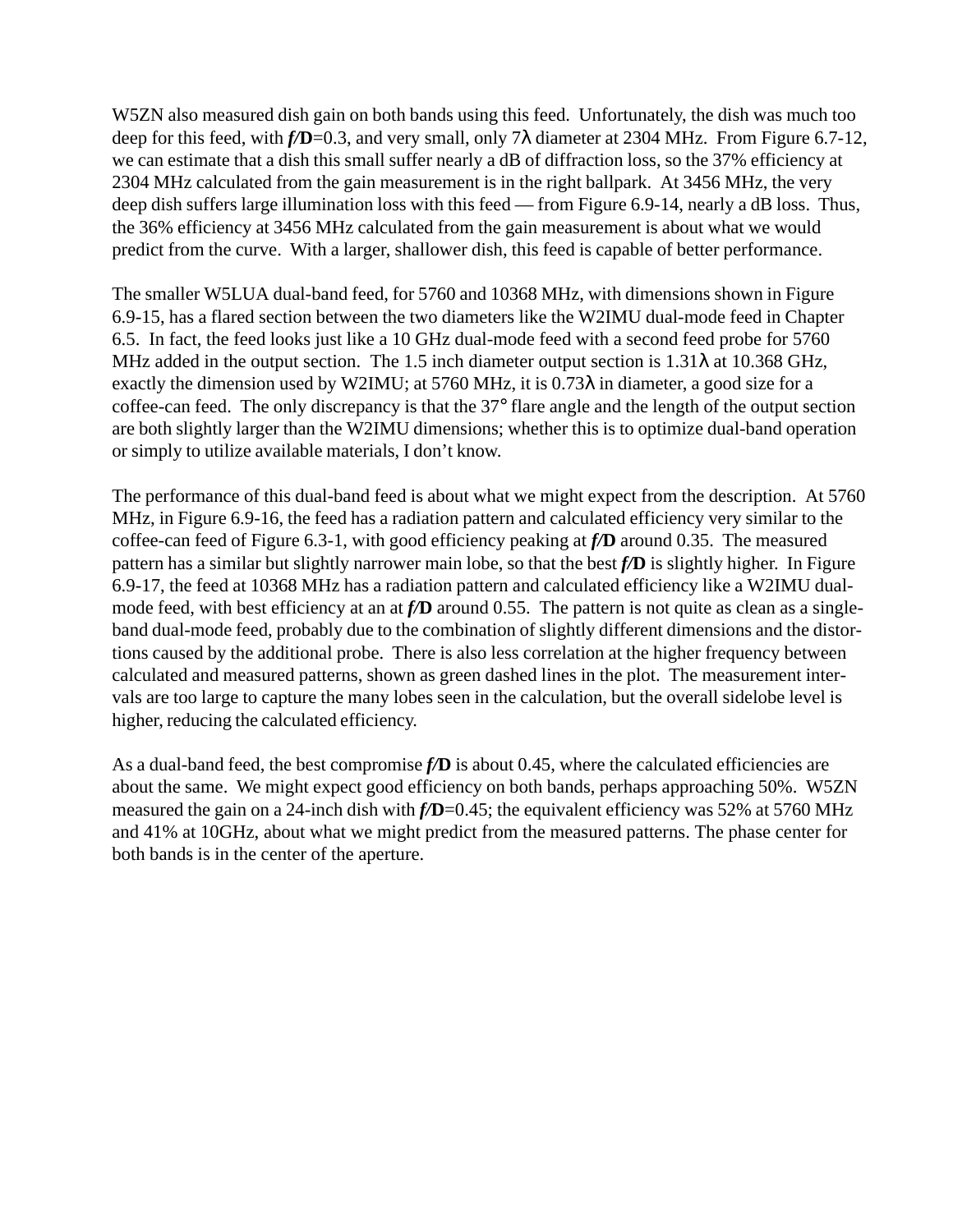W5ZN also measured dish gain on both bands using this feed. Unfortunately, the dish was much too deep for this feed, with *f/***D**=0.3, and very small, only 7λ diameter at 2304 MHz. From Figure 6.7-12, we can estimate that a dish this small suffer nearly a dB of diffraction loss, so the 37% efficiency at 2304 MHz calculated from the gain measurement is in the right ballpark. At 3456 MHz, the very deep dish suffers large illumination loss with this feed — from Figure 6.9-14, nearly a dB loss. Thus, the 36% efficiency at 3456 MHz calculated from the gain measurement is about what we would predict from the curve. With a larger, shallower dish, this feed is capable of better performance.

The smaller W5LUA dual-band feed, for 5760 and 10368 MHz, with dimensions shown in Figure 6.9-15, has a flared section between the two diameters like the W2IMU dual-mode feed in Chapter 6.5. In fact, the feed looks just like a 10 GHz dual-mode feed with a second feed probe for 5760 MHz added in the output section. The 1.5 inch diameter output section is 1.31λ at 10.368 GHz, exactly the dimension used by W2IMU; at 5760 MHz, it is 0.73λ in diameter, a good size for a coffee-can feed. The only discrepancy is that the 37° flare angle and the length of the output section are both slightly larger than the W2IMU dimensions; whether this is to optimize dual-band operation or simply to utilize available materials, I don't know.

The performance of this dual-band feed is about what we might expect from the description. At 5760 MHz, in Figure 6.9-16, the feed has a radiation pattern and calculated efficiency very similar to the coffee-can feed of Figure 6.3-1, with good efficiency peaking at *f/***D** around 0.35. The measured pattern has a similar but slightly narrower main lobe, so that the best *f/***D** is slightly higher. In Figure 6.9-17, the feed at 10368 MHz has a radiation pattern and calculated efficiency like a W2IMU dualmode feed, with best efficiency at an at *f/***D** around 0.55. The pattern is not quite as clean as a singleband dual-mode feed, probably due to the combination of slightly different dimensions and the distortions caused by the additional probe. There is also less correlation at the higher frequency between calculated and measured patterns, shown as green dashed lines in the plot. The measurement intervals are too large to capture the many lobes seen in the calculation, but the overall sidelobe level is higher, reducing the calculated efficiency.

As a dual-band feed, the best compromise *f/***D** is about 0.45, where the calculated efficiencies are about the same. We might expect good efficiency on both bands, perhaps approaching 50%. W5ZN measured the gain on a 24-inch dish with  $f/D$ =0.45; the equivalent efficiency was 52% at 5760 MHz and 41% at 10GHz, about what we might predict from the measured patterns. The phase center for both bands is in the center of the aperture.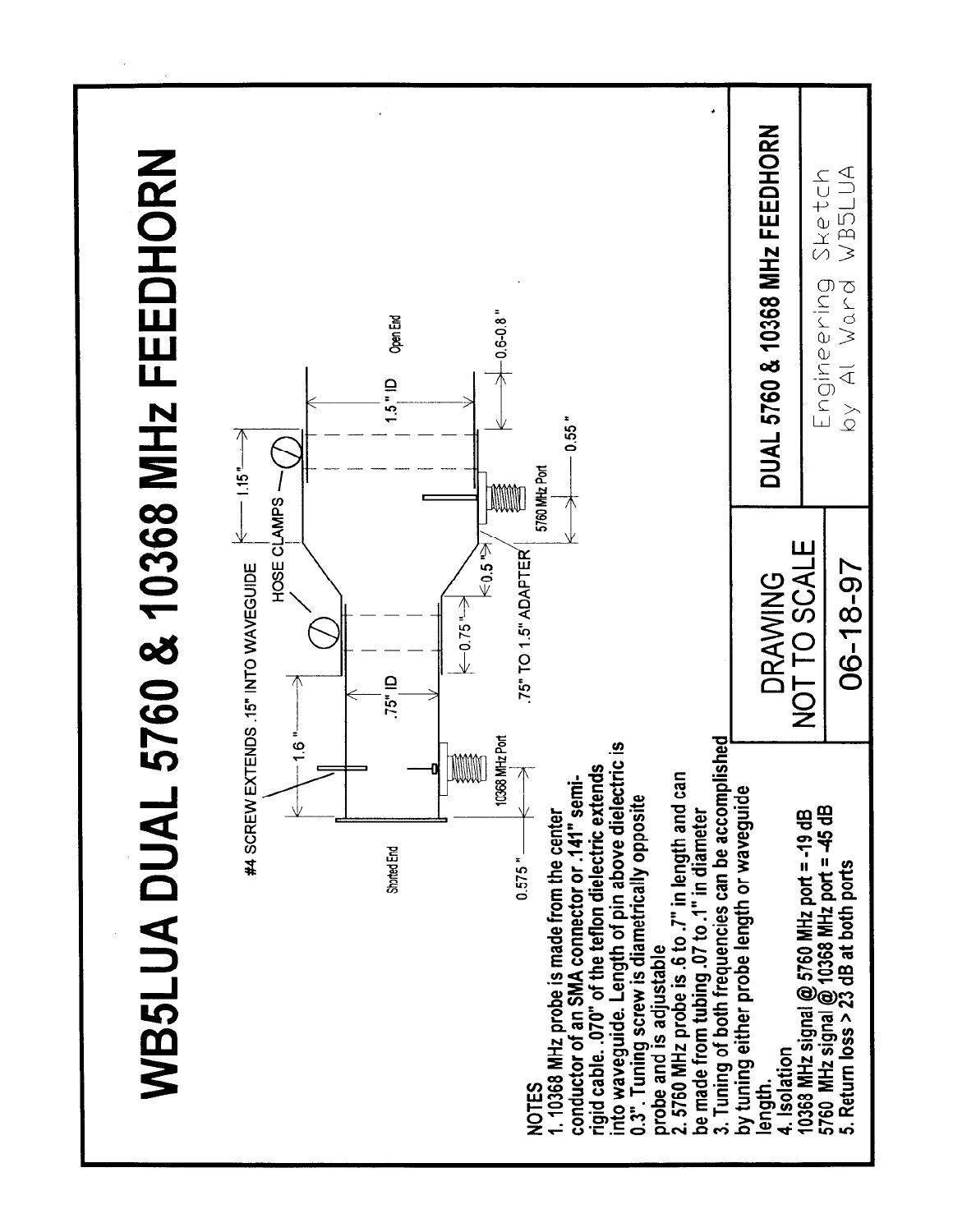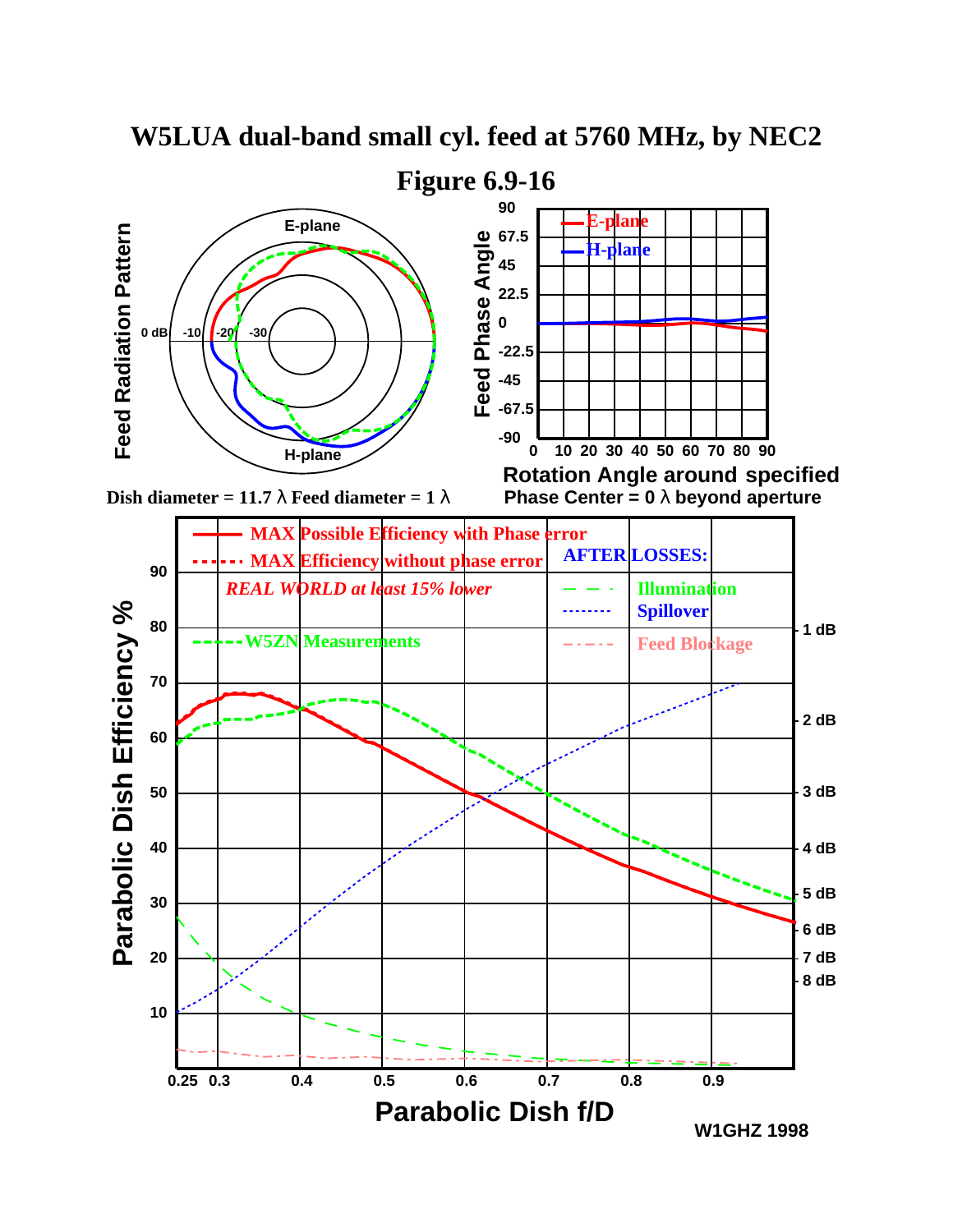

# **W5LUA dual-band small cyl. feed at 5760 MHz, by NEC2**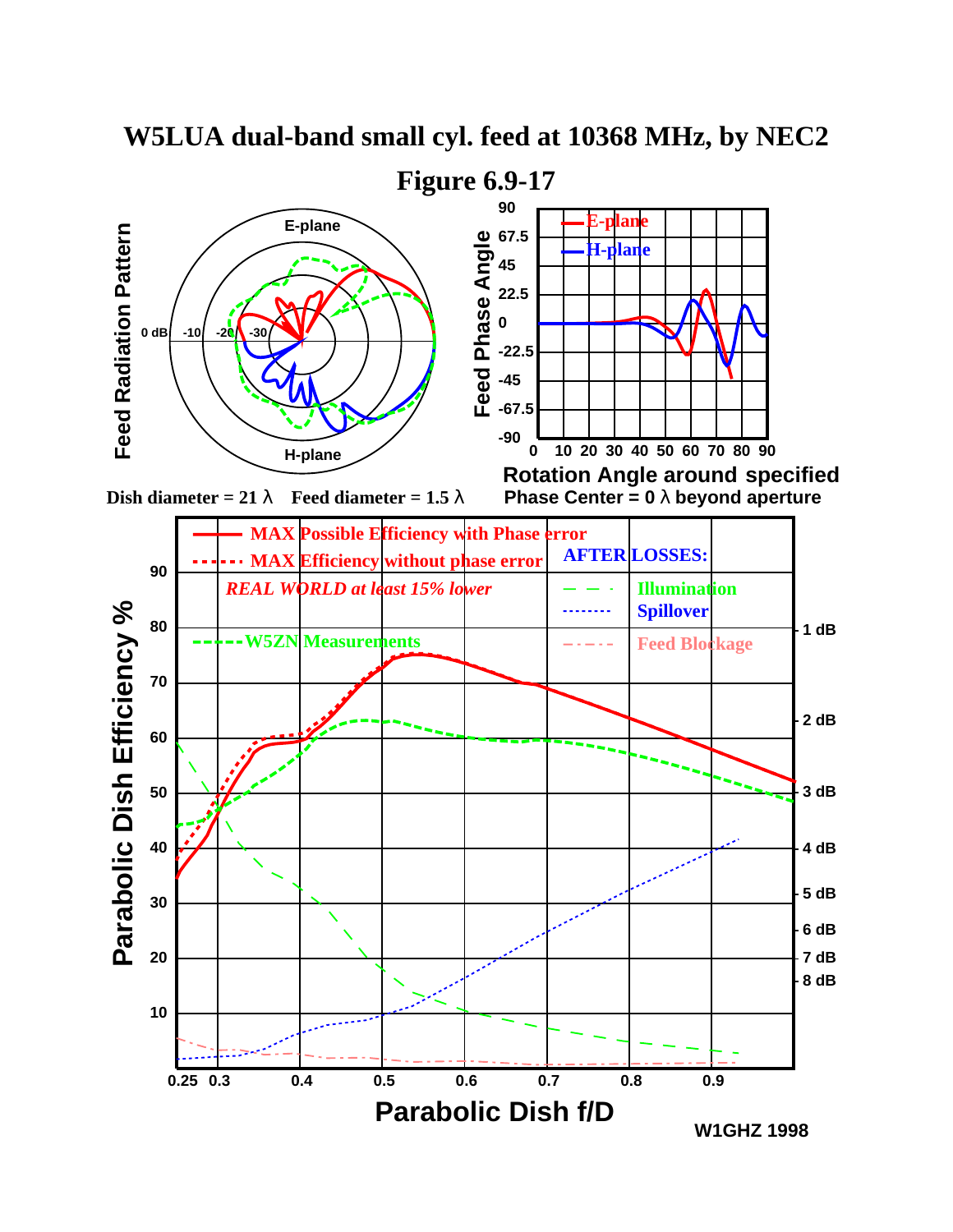

**W5LUA dual-band small cyl. feed at 10368 MHz, by NEC2**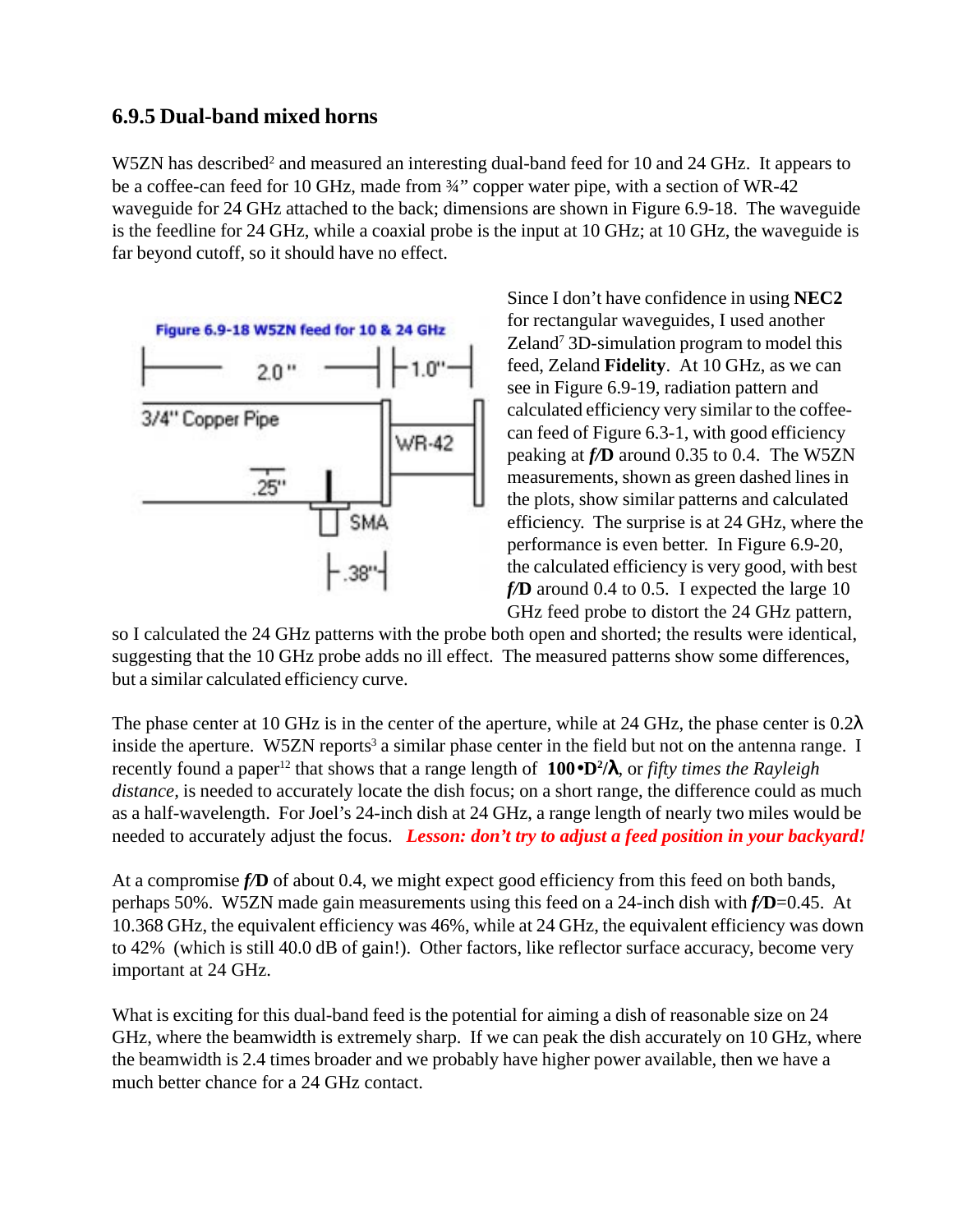#### **6.9.5 Dual-band mixed horns**

W5ZN has described<sup>2</sup> and measured an interesting dual-band feed for 10 and 24 GHz. It appears to be a coffee-can feed for 10 GHz, made from  $\frac{3}{4}$ " copper water pipe, with a section of WR-42 waveguide for 24 GHz attached to the back; dimensions are shown in Figure 6.9-18. The waveguide is the feedline for 24 GHz, while a coaxial probe is the input at 10 GHz; at 10 GHz, the waveguide is far beyond cutoff, so it should have no effect.



Since I don't have confidence in using **NEC2** for rectangular waveguides, I used another Zeland<sup>7</sup> 3D-simulation program to model this feed, Zeland **Fidelity**. At 10 GHz, as we can see in Figure 6.9-19, radiation pattern and calculated efficiency very similar to the coffeecan feed of Figure 6.3-1, with good efficiency peaking at *f/***D** around 0.35 to 0.4. The W5ZN measurements, shown as green dashed lines in the plots, show similar patterns and calculated efficiency. The surprise is at 24 GHz, where the performance is even better. In Figure 6.9-20, the calculated efficiency is very good, with best *f/***D** around 0.4 to 0.5. I expected the large 10 GHz feed probe to distort the 24 GHz pattern,

so I calculated the 24 GHz patterns with the probe both open and shorted; the results were identical, suggesting that the 10 GHz probe adds no ill effect. The measured patterns show some differences, but a similar calculated efficiency curve.

The phase center at 10 GHz is in the center of the aperture, while at 24 GHz, the phase center is 0.2λ inside the aperture. W5ZN reports<sup>3</sup> a similar phase center in the field but not on the antenna range. I recently found a paper12 that shows that a range length of **100**•**D2 /**λ, or *fifty times the Rayleigh distance*, is needed to accurately locate the dish focus; on a short range, the difference could as much as a half-wavelength. For Joel's 24-inch dish at 24 GHz, a range length of nearly two miles would be needed to accurately adjust the focus. *Lesson: don't try to adjust a feed position in your backyard!*

At a compromise *f/***D** of about 0.4, we might expect good efficiency from this feed on both bands, perhaps 50%. W5ZN made gain measurements using this feed on a 24-inch dish with *f/***D**=0.45. At 10.368 GHz, the equivalent efficiency was 46%, while at 24 GHz, the equivalent efficiency was down to 42% (which is still 40.0 dB of gain!). Other factors, like reflector surface accuracy, become very important at 24 GHz.

What is exciting for this dual-band feed is the potential for aiming a dish of reasonable size on 24 GHz, where the beamwidth is extremely sharp. If we can peak the dish accurately on 10 GHz, where the beamwidth is 2.4 times broader and we probably have higher power available, then we have a much better chance for a 24 GHz contact.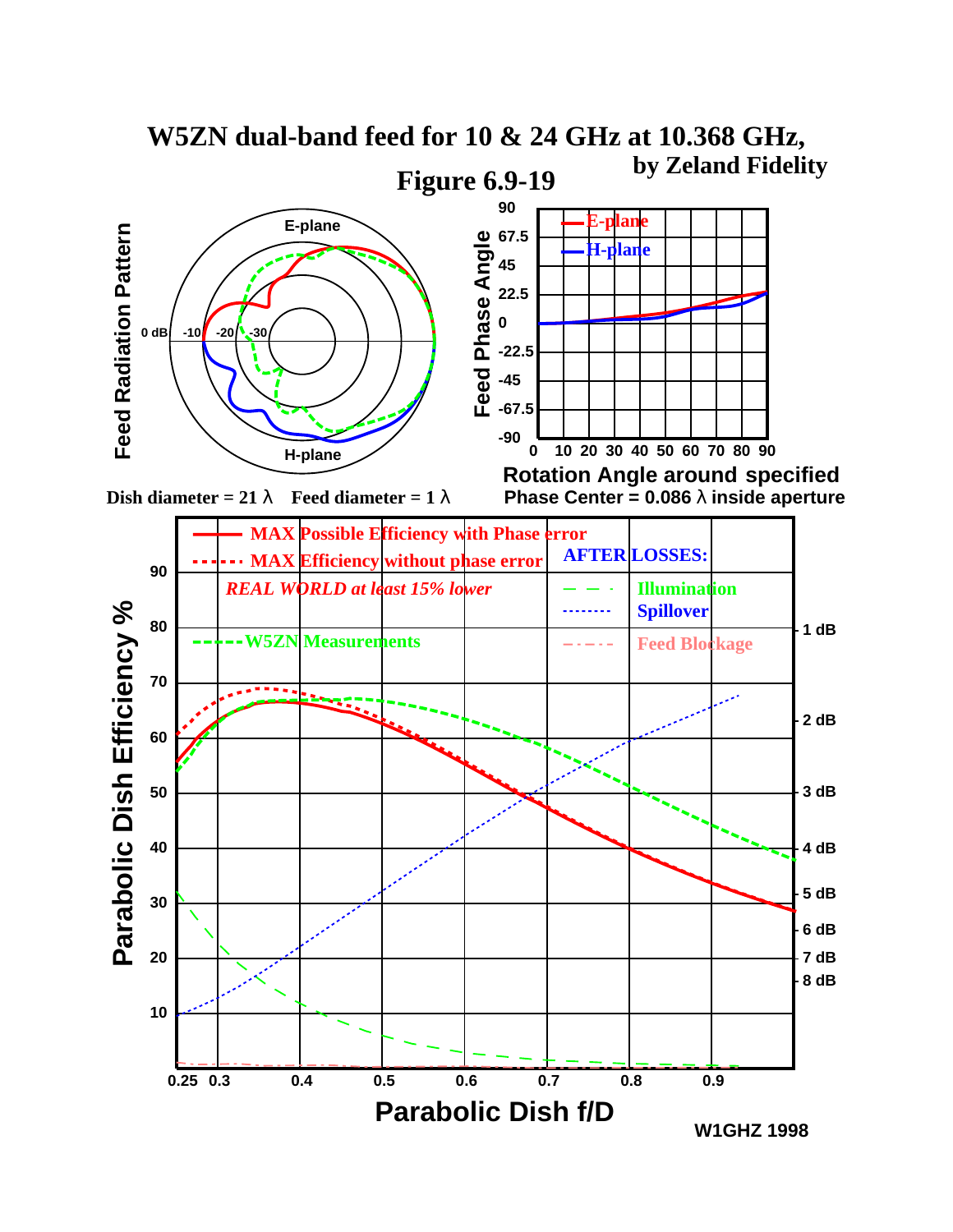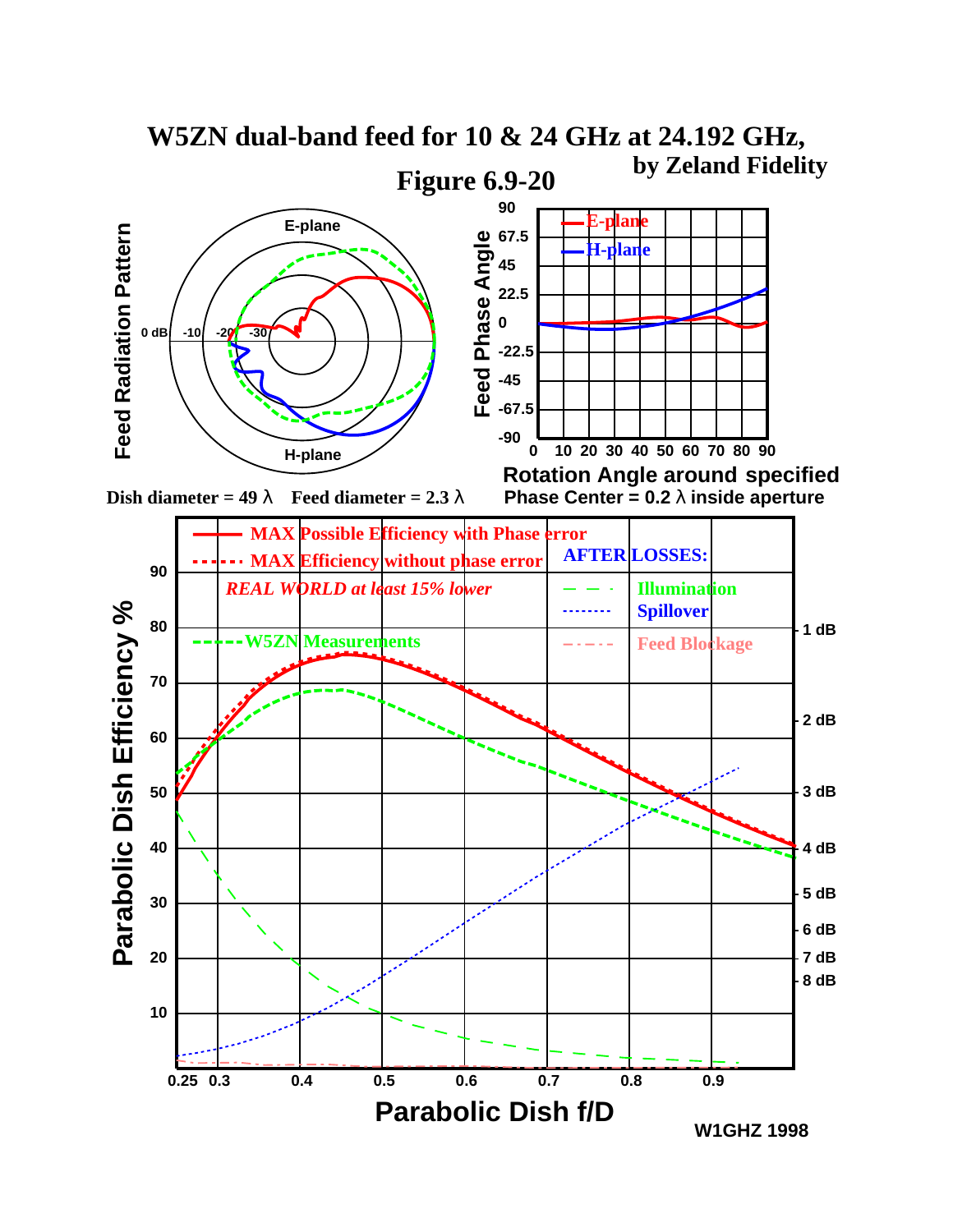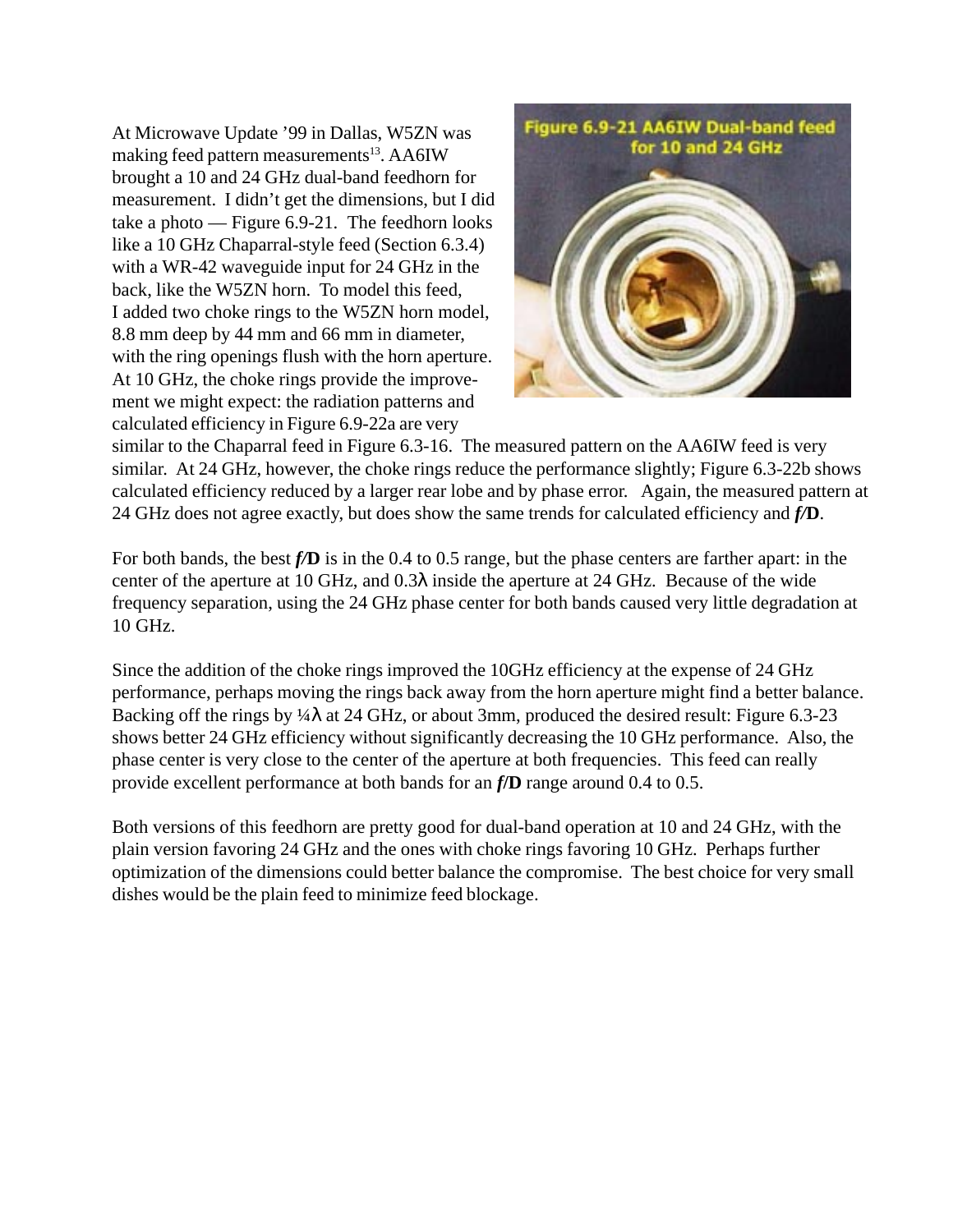At Microwave Update '99 in Dallas, W5ZN was making feed pattern measurements<sup>13</sup>. AA6IW brought a 10 and 24 GHz dual-band feedhorn for measurement. I didn't get the dimensions, but I did take a photo — Figure 6.9-21. The feedhorn looks like a 10 GHz Chaparral-style feed (Section 6.3.4) with a WR-42 waveguide input for 24 GHz in the back, like the W5ZN horn. To model this feed, I added two choke rings to the W5ZN horn model, 8.8 mm deep by 44 mm and 66 mm in diameter, with the ring openings flush with the horn aperture. At 10 GHz, the choke rings provide the improvement we might expect: the radiation patterns and calculated efficiency in Figure 6.9-22a are very



similar to the Chaparral feed in Figure 6.3-16. The measured pattern on the AA6IW feed is very similar. At 24 GHz, however, the choke rings reduce the performance slightly; Figure 6.3-22b shows calculated efficiency reduced by a larger rear lobe and by phase error. Again, the measured pattern at 24 GHz does not agree exactly, but does show the same trends for calculated efficiency and *f/***D**.

For both bands, the best *f/***D** is in the 0.4 to 0.5 range, but the phase centers are farther apart: in the center of the aperture at 10 GHz, and 0.3λ inside the aperture at 24 GHz. Because of the wide frequency separation, using the 24 GHz phase center for both bands caused very little degradation at 10 GHz.

Since the addition of the choke rings improved the 10GHz efficiency at the expense of 24 GHz performance, perhaps moving the rings back away from the horn aperture might find a better balance. Backing off the rings by ¼λ at 24 GHz, or about 3mm, produced the desired result: Figure 6.3-23 shows better 24 GHz efficiency without significantly decreasing the 10 GHz performance. Also, the phase center is very close to the center of the aperture at both frequencies. This feed can really provide excellent performance at both bands for an *f***/D** range around 0.4 to 0.5.

Both versions of this feedhorn are pretty good for dual-band operation at 10 and 24 GHz, with the plain version favoring 24 GHz and the ones with choke rings favoring 10 GHz. Perhaps further optimization of the dimensions could better balance the compromise. The best choice for very small dishes would be the plain feed to minimize feed blockage.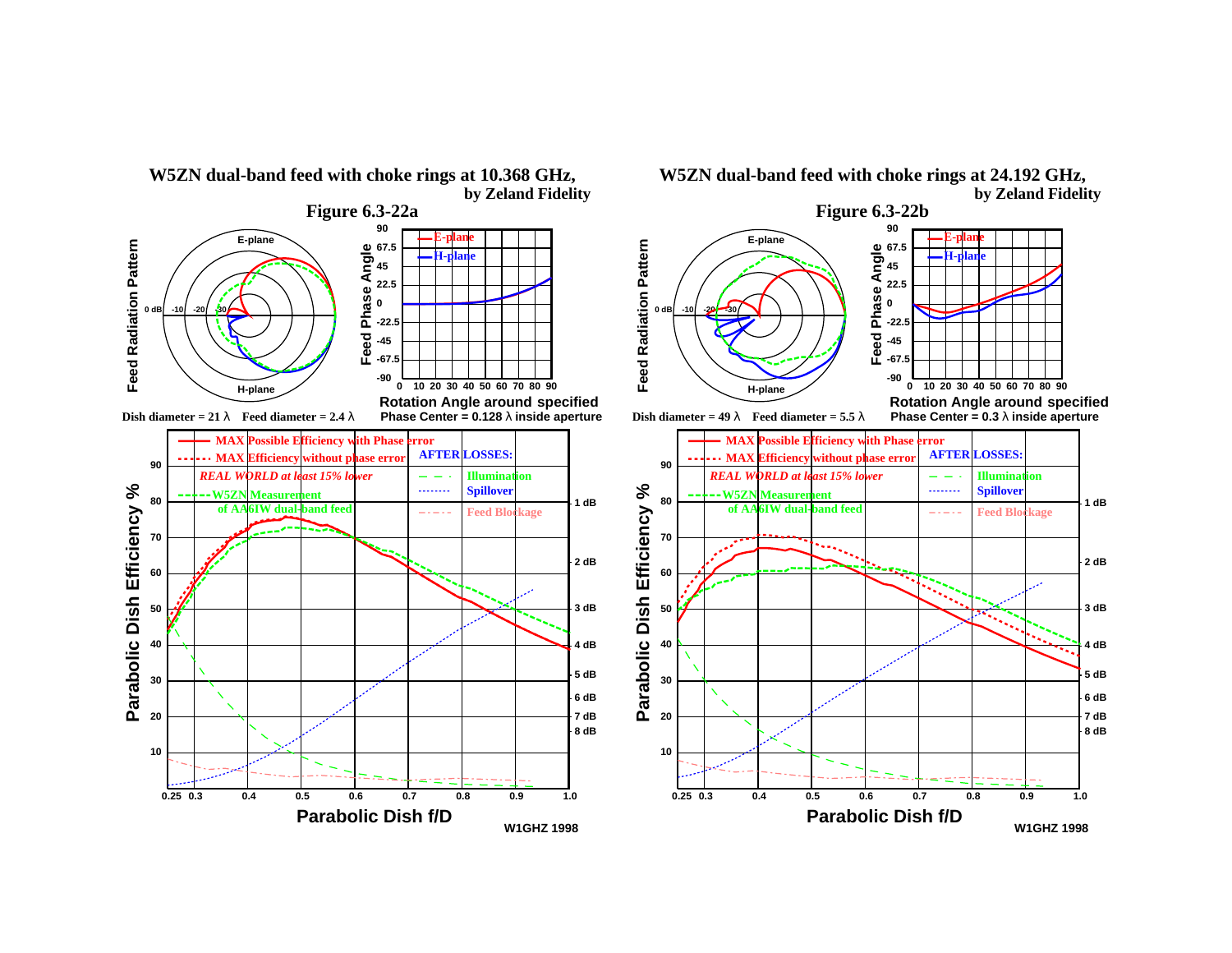